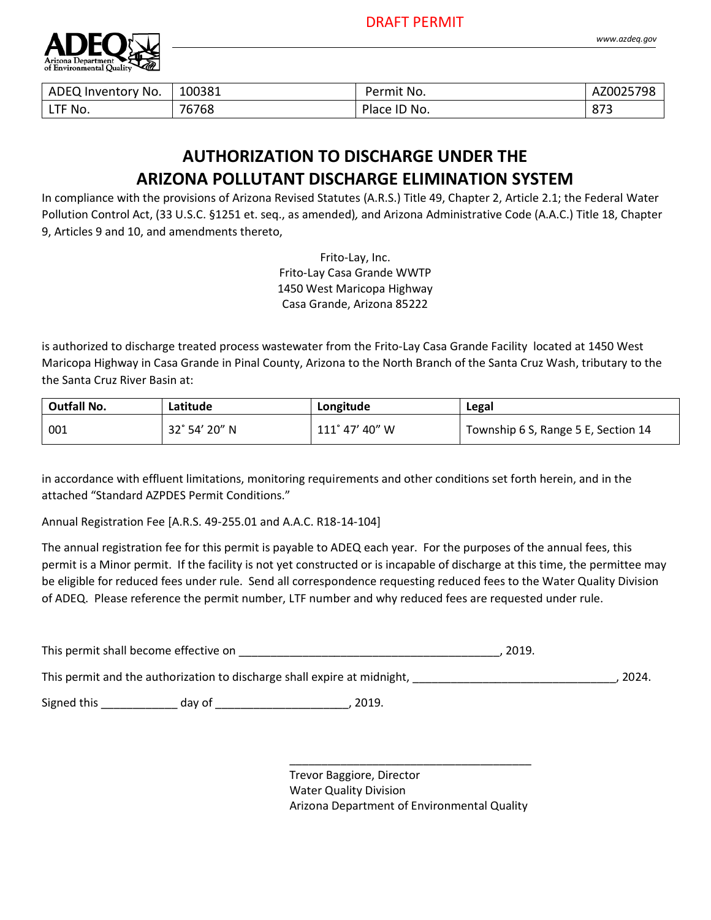

| ADEQ <sup>'</sup><br>No.<br>lnventory | 100381 | Permit No.   | AZ0025798 |
|---------------------------------------|--------|--------------|-----------|
| LTF No.                               | 76768  | Place ID No. | 873       |

# **AUTHORIZATION TO DISCHARGE UNDER THE ARIZONA POLLUTANT DISCHARGE ELIMINATION SYSTEM**

In compliance with the provisions of Arizona Revised Statutes (A.R.S.) Title 49, Chapter 2, Article 2.1; the Federal Water Pollution Control Act, (33 U.S.C. §1251 et. seq., as amended), and Arizona Administrative Code (A.A.C.) Title 18, Chapter 9, Articles 9 and 10, and amendments thereto,

> Frito-Lay, Inc. Frito-Lay Casa Grande WWTP 1450 West Maricopa Highway Casa Grande, Arizona 85222

is authorized to discharge treated process wastewater from the Frito-Lay Casa Grande Facility located at 1450 West Maricopa Highway in Casa Grande in Pinal County, Arizona to the North Branch of the Santa Cruz Wash, tributary to the the Santa Cruz River Basin at:

| Outfall No. | Latitude      | Longitude      | Legal                               |
|-------------|---------------|----------------|-------------------------------------|
| 001         | 32° 54' 20" N | 111° 47' 40" W | Township 6 S, Range 5 E, Section 14 |

in accordance with effluent limitations, monitoring requirements and other conditions set forth herein, and in the attached "Standard AZPDES Permit Conditions."

Annual Registration Fee [A.R.S. 49-255.01 and A.A.C. R18-14-104]

The annual registration fee for this permit is payable to ADEQ each year. For the purposes of the annual fees, this permit is a Minor permit. If the facility is not yet constructed or is incapable of discharge at this time, the permittee may be eligible for reduced fees under rule. Send all correspondence requesting reduced fees to the Water Quality Division of ADEQ. Please reference the permit number, LTF number and why reduced fees are requested under rule.

|             | This permit shall become effective on |                                                                          | 2019. |
|-------------|---------------------------------------|--------------------------------------------------------------------------|-------|
|             |                                       | This permit and the authorization to discharge shall expire at midnight, | 2024. |
| Signed this | day of                                | 2019.                                                                    |       |

Trevor Baggiore, Director Water Quality Division Arizona Department of Environmental Quality

\_\_\_\_\_\_\_\_\_\_\_\_\_\_\_\_\_\_\_\_\_\_\_\_\_\_\_\_\_\_\_\_\_\_\_\_\_\_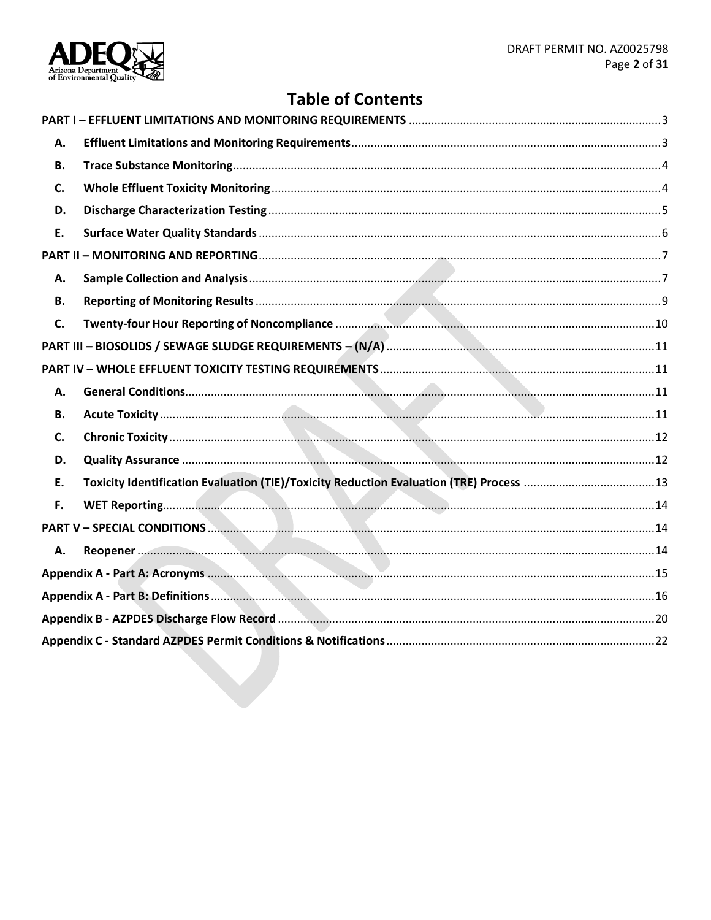

# **Table of Contents**

| А.        |  |
|-----------|--|
| В.        |  |
| C.        |  |
| D.        |  |
| E.        |  |
|           |  |
| Α.        |  |
| В.        |  |
| C.        |  |
|           |  |
|           |  |
| А.        |  |
| <b>B.</b> |  |
| C.        |  |
| D.        |  |
| E.        |  |
| F.        |  |
|           |  |
| А.        |  |
|           |  |
|           |  |
|           |  |
|           |  |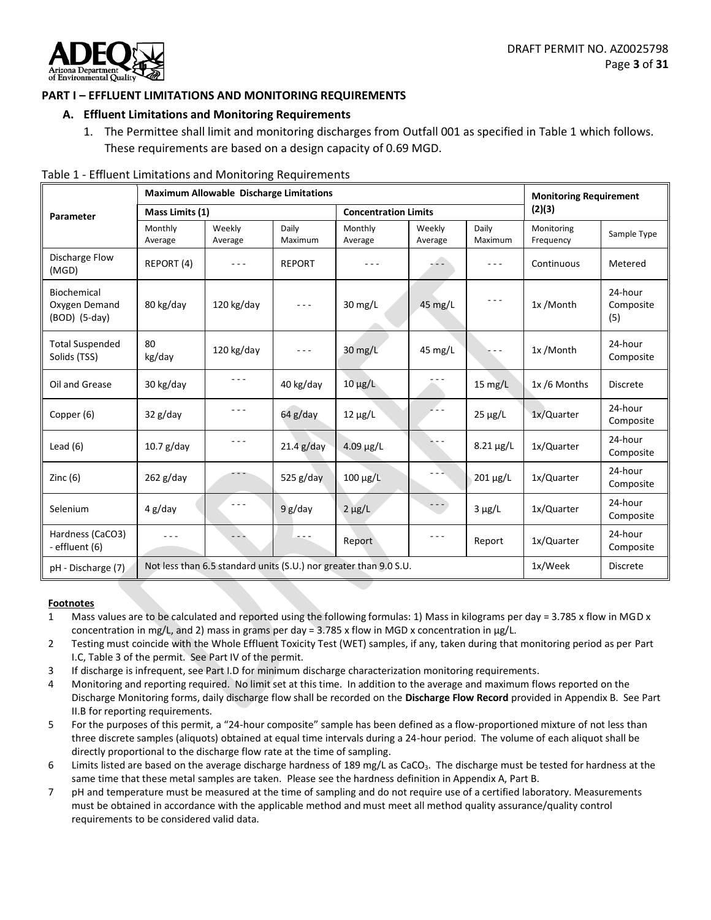

## <span id="page-2-1"></span><span id="page-2-0"></span>**PART I – EFFLUENT LIMITATIONS AND MONITORING REQUIREMENTS**

## **A. Effluent Limitations and Monitoring Requirements**

1. The Permittee shall limit and monitoring discharges from Outfall 001 as specified in Table 1 which follows. These requirements are based on a design capacity of 0.69 MGD.

|                                               | <b>Maximum Allowable Discharge Limitations</b>                    |                                                                                                                                                                                                                                                                                                                                                                                              |                  |                             |                                                                                                                                                                                                                                                                                                                                                                                              |                   | <b>Monitoring Requirement</b> |                             |
|-----------------------------------------------|-------------------------------------------------------------------|----------------------------------------------------------------------------------------------------------------------------------------------------------------------------------------------------------------------------------------------------------------------------------------------------------------------------------------------------------------------------------------------|------------------|-----------------------------|----------------------------------------------------------------------------------------------------------------------------------------------------------------------------------------------------------------------------------------------------------------------------------------------------------------------------------------------------------------------------------------------|-------------------|-------------------------------|-----------------------------|
| Parameter                                     | Mass Limits (1)                                                   |                                                                                                                                                                                                                                                                                                                                                                                              |                  | <b>Concentration Limits</b> |                                                                                                                                                                                                                                                                                                                                                                                              |                   | (2)(3)                        |                             |
|                                               | Monthly<br>Average                                                | Weekly<br>Average                                                                                                                                                                                                                                                                                                                                                                            | Daily<br>Maximum | Monthly<br>Average          | Weekly<br>Average                                                                                                                                                                                                                                                                                                                                                                            | Daily<br>Maximum  | Monitoring<br>Frequency       | Sample Type                 |
| Discharge Flow<br>(MGD)                       | REPORT (4)                                                        | $\frac{1}{2} \frac{1}{2} \frac{1}{2} \frac{1}{2} \frac{1}{2} \frac{1}{2} \frac{1}{2} \frac{1}{2} \frac{1}{2} \frac{1}{2} \frac{1}{2} \frac{1}{2} \frac{1}{2} \frac{1}{2} \frac{1}{2} \frac{1}{2} \frac{1}{2} \frac{1}{2} \frac{1}{2} \frac{1}{2} \frac{1}{2} \frac{1}{2} \frac{1}{2} \frac{1}{2} \frac{1}{2} \frac{1}{2} \frac{1}{2} \frac{1}{2} \frac{1}{2} \frac{1}{2} \frac{1}{2} \frac{$ | <b>REPORT</b>    | $- - -$                     | ---                                                                                                                                                                                                                                                                                                                                                                                          | ---               | Continuous                    | Metered                     |
| Biochemical<br>Oxygen Demand<br>(BOD) (5-day) | 80 kg/day                                                         | 120 kg/day                                                                                                                                                                                                                                                                                                                                                                                   | - - -            | 30 mg/L                     | 45 mg/L                                                                                                                                                                                                                                                                                                                                                                                      |                   | 1x/Month                      | 24-hour<br>Composite<br>(5) |
| <b>Total Suspended</b><br>Solids (TSS)        | 80<br>kg/day                                                      | 120 kg/day                                                                                                                                                                                                                                                                                                                                                                                   | - - -            | 30 mg/L                     | 45 mg/L                                                                                                                                                                                                                                                                                                                                                                                      | - - -             | 1x/Month                      | 24-hour<br>Composite        |
| Oil and Grease                                | 30 kg/day                                                         | - - -                                                                                                                                                                                                                                                                                                                                                                                        | 40 kg/day        | $10 \mu g/L$                |                                                                                                                                                                                                                                                                                                                                                                                              | $15 \text{ mg/L}$ | 1x/6 Months                   | Discrete                    |
| Copper (6)                                    | 32 g/day                                                          | - - -                                                                                                                                                                                                                                                                                                                                                                                        | 64 g/day         | $12 \mu g/L$                | $- - -$                                                                                                                                                                                                                                                                                                                                                                                      | $25 \mu g/L$      | 1x/Quarter                    | 24-hour<br>Composite        |
| Lead $(6)$                                    | $10.7$ g/day                                                      | - - -                                                                                                                                                                                                                                                                                                                                                                                        | $21.4$ g/day     | $4.09 \mu g/L$              |                                                                                                                                                                                                                                                                                                                                                                                              | $8.21 \mu g/L$    | 1x/Quarter                    | 24-hour<br>Composite        |
| Zinc $(6)$                                    | $262$ g/day                                                       |                                                                                                                                                                                                                                                                                                                                                                                              | 525 $g$ /day     | $100 \mu g/L$               |                                                                                                                                                                                                                                                                                                                                                                                              | $201 \mu g/L$     | 1x/Quarter                    | 24-hour<br>Composite        |
| Selenium                                      | 4 g/day                                                           | ---                                                                                                                                                                                                                                                                                                                                                                                          | 9g/day           | $2 \mu g/L$                 | $\frac{1}{2} \frac{1}{2} \frac{1}{2} \frac{1}{2} \frac{1}{2} \frac{1}{2} \frac{1}{2} \frac{1}{2} \frac{1}{2} \frac{1}{2} \frac{1}{2} \frac{1}{2} \frac{1}{2} \frac{1}{2} \frac{1}{2} \frac{1}{2} \frac{1}{2} \frac{1}{2} \frac{1}{2} \frac{1}{2} \frac{1}{2} \frac{1}{2} \frac{1}{2} \frac{1}{2} \frac{1}{2} \frac{1}{2} \frac{1}{2} \frac{1}{2} \frac{1}{2} \frac{1}{2} \frac{1}{2} \frac{$ | $3 \mu g/L$       | 1x/Quarter                    | 24-hour<br>Composite        |
| Hardness (CaCO3)<br>- effluent (6)            | $- - -$                                                           | --1                                                                                                                                                                                                                                                                                                                                                                                          | $- - -$          | Report                      | $- - -$                                                                                                                                                                                                                                                                                                                                                                                      | Report            | 1x/Quarter                    | 24-hour<br>Composite        |
| pH - Discharge (7)                            | Not less than 6.5 standard units (S.U.) nor greater than 9.0 S.U. |                                                                                                                                                                                                                                                                                                                                                                                              |                  |                             |                                                                                                                                                                                                                                                                                                                                                                                              | 1x/Week           | <b>Discrete</b>               |                             |

#### Table 1 - Effluent Limitations and Monitoring Requirements

- 1 Mass values are to be calculated and reported using the following formulas: 1) Mass in kilograms per day = 3.785 x flow in MGD x concentration in mg/L, and 2) mass in grams per day = 3.785 x flow in MGD x concentration in µg/L.
- 2 Testing must coincide with the Whole Effluent Toxicity Test (WET) samples, if any, taken during that monitoring period as per Part I.C, Table 3 of the permit. See Part IV of the permit.
- 3 If discharge is infrequent, see Part I.D for minimum discharge characterization monitoring requirements.
- 4 Monitoring and reporting required. No limit set at this time. In addition to the average and maximum flows reported on the Discharge Monitoring forms, daily discharge flow shall be recorded on the **Discharge Flow Record** provided in Appendix B. See Part II.B for reporting requirements.
- 5 For the purposes of this permit, a "24-hour composite" sample has been defined as a flow-proportioned mixture of not less than three discrete samples (aliquots) obtained at equal time intervals during a 24-hour period. The volume of each aliquot shall be directly proportional to the discharge flow rate at the time of sampling.
- 6 Limits listed are based on the average discharge hardness of 189 mg/L as CaCO<sub>3</sub>. The discharge must be tested for hardness at the same time that these metal samples are taken. Please see the hardness definition in Appendix A, Part B.
- 7 pH and temperature must be measured at the time of sampling and do not require use of a certified laboratory. Measurements must be obtained in accordance with the applicable method and must meet all method quality assurance/quality control requirements to be considered valid data.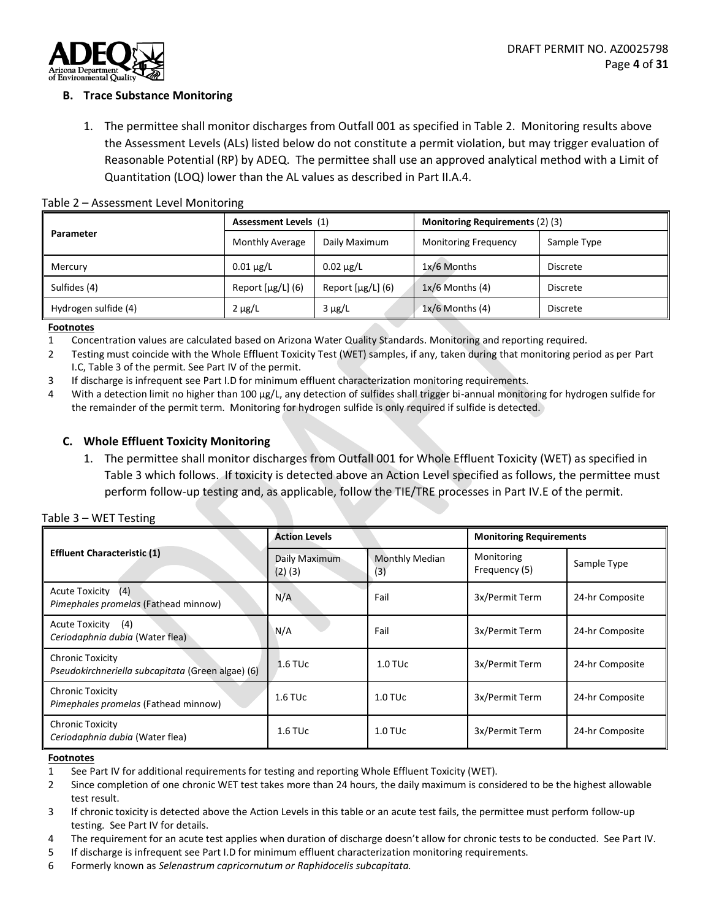

#### <span id="page-3-0"></span>**B. Trace Substance Monitoring**

1. The permittee shall monitor discharges from Outfall 001 as specified in Table 2. Monitoring results above the Assessment Levels (ALs) listed below do not constitute a permit violation, but may trigger evaluation of Reasonable Potential (RP) by ADEQ. The permittee shall use an approved analytical method with a Limit of Quantitation (LOQ) lower than the AL values as described in Part II.A.4.

|                      | Assessment Levels (1)  |                        | Monitoring Requirements (2) (3) |                 |  |
|----------------------|------------------------|------------------------|---------------------------------|-----------------|--|
| Parameter            | Monthly Average        | Daily Maximum          | <b>Monitoring Frequency</b>     | Sample Type     |  |
| Mercury              | $0.01 \mu$ g/L         | $0.02 \mu$ g/L         | 1x/6 Months                     | <b>Discrete</b> |  |
| Sulfides (4)         | Report $[\mu g/L]$ (6) | Report $[\mu g/L]$ (6) | $1x/6$ Months $(4)$             | <b>Discrete</b> |  |
| Hydrogen sulfide (4) | $2 \mu g/L$            | $3 \mu g/L$            | $1x/6$ Months $(4)$             | <b>Discrete</b> |  |

#### Table 2 – Assessment Level Monitoring

#### **Footnotes**

1 Concentration values are calculated based on Arizona Water Quality Standards. Monitoring and reporting required.

2 Testing must coincide with the Whole Effluent Toxicity Test (WET) samples, if any, taken during that monitoring period as per Part I.C, Table 3 of the permit. See Part IV of the permit.

3 If discharge is infrequent see Part I.D for minimum effluent characterization monitoring requirements.

4 With a detection limit no higher than 100 µg/L, any detection of sulfides shall trigger bi-annual monitoring for hydrogen sulfide for the remainder of the permit term. Monitoring for hydrogen sulfide is only required if sulfide is detected.

#### <span id="page-3-1"></span>**C. Whole Effluent Toxicity Monitoring**

1. The permittee shall monitor discharges from Outfall 001 for Whole Effluent Toxicity (WET) as specified in Table 3 which follows. If toxicity is detected above an Action Level specified as follows, the permittee must perform follow-up testing and, as applicable, follow the TIE/TRE processes in Part IV.E of the permit.

#### Table 3 – WET Testing

|                                                                              | <b>Action Levels</b>         |                              | <b>Monitoring Requirements</b> |                 |
|------------------------------------------------------------------------------|------------------------------|------------------------------|--------------------------------|-----------------|
| <b>Effluent Characteristic (1)</b>                                           | Daily Maximum<br>$(2)$ $(3)$ | <b>Monthly Median</b><br>(3) | Monitoring<br>Frequency (5)    | Sample Type     |
| (4)<br><b>Acute Toxicity</b><br>Pimephales promelas (Fathead minnow)         | N/A                          | Fail                         | 3x/Permit Term                 | 24-hr Composite |
| <b>Acute Toxicity</b><br>(4)<br>Ceriodaphnia dubia (Water flea)              | N/A                          | Fail                         | 3x/Permit Term                 | 24-hr Composite |
| <b>Chronic Toxicity</b><br>Pseudokirchneriella subcapitata (Green algae) (6) | $1.6$ TUc                    | $1.0$ TUc                    | 3x/Permit Term                 | 24-hr Composite |
| Chronic Toxicity<br>Pimephales promelas (Fathead minnow)                     | $1.6$ TU $c$                 | $1.0$ TUc                    | 3x/Permit Term                 | 24-hr Composite |
| <b>Chronic Toxicity</b><br>Ceriodaphnia dubia (Water flea)                   | $1.6$ TUc                    | $1.0$ TU $c$                 | 3x/Permit Term                 | 24-hr Composite |

- 1 See Part IV for additional requirements for testing and reporting Whole Effluent Toxicity (WET).
- 2 Since completion of one chronic WET test takes more than 24 hours, the daily maximum is considered to be the highest allowable test result.
- 3 If chronic toxicity is detected above the Action Levels in this table or an acute test fails, the permittee must perform follow-up testing. See Part IV for details.
- 4 The requirement for an acute test applies when duration of discharge doesn't allow for chronic tests to be conducted. See Part IV.
- 5 If discharge is infrequent see Part I.D for minimum effluent characterization monitoring requirements.
- 6 Formerly known as *Selenastrum capricornutum or Raphidocelis subcapitata.*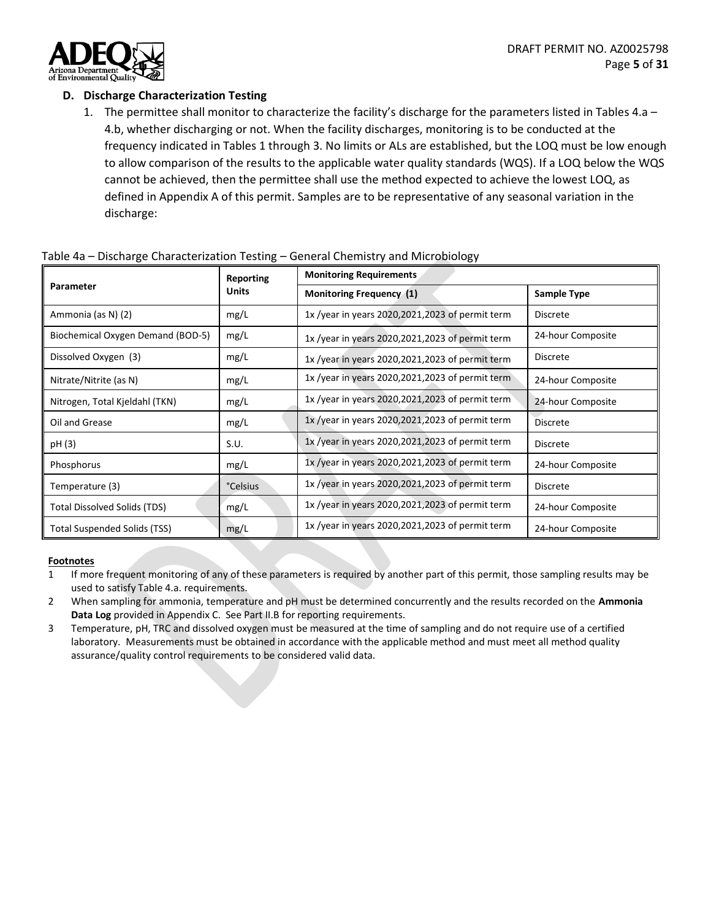

## <span id="page-4-0"></span>**D. Discharge Characterization Testing**

1. The permittee shall monitor to characterize the facility's discharge for the parameters listed in Tables 4.a – 4.b, whether discharging or not. When the facility discharges, monitoring is to be conducted at the frequency indicated in Tables 1 through 3. No limits or ALs are established, but the LOQ must be low enough to allow comparison of the results to the applicable water quality standards (WQS). If a LOQ below the WQS cannot be achieved, then the permittee shall use the method expected to achieve the lowest LOQ, as defined in Appendix A of this permit. Samples are to be representative of any seasonal variation in the discharge:

|                                     | Reporting             | <b>Monitoring Requirements</b>                      |                   |  |
|-------------------------------------|-----------------------|-----------------------------------------------------|-------------------|--|
| Parameter                           | <b>Units</b>          | Monitoring Frequency (1)                            | Sample Type       |  |
| Ammonia (as N) (2)                  | mg/L                  | 1x /year in years $2020,2021,2023$ of permit term   | Discrete          |  |
| Biochemical Oxygen Demand (BOD-5)   | mg/L                  | 1x /year in years 2020,2021,2023 of permit term     | 24-hour Composite |  |
| Dissolved Oxygen (3)                | mg/L                  | 1x /year in years 2020,2021,2023 of permit term     | <b>Discrete</b>   |  |
| Nitrate/Nitrite (as N)              | mg/L                  | 1x /year in years 2020, 2021, 2023 of permit term   | 24-hour Composite |  |
| Nitrogen, Total Kjeldahl (TKN)      | mg/L                  | 1x /year in years 2020, 2021, 2023 of permit term   | 24-hour Composite |  |
| Oil and Grease                      | mg/L                  | 1x /year in years 2020, 2021, 2023 of permit term   | <b>Discrete</b>   |  |
| pH (3)                              | S.U.                  | 1x /year in years 2020, 2021, 2023 of permit term   | <b>Discrete</b>   |  |
| Phosphorus                          | mg/L                  | $1x$ /year in years 2020, 2021, 2023 of permit term | 24-hour Composite |  |
| Temperature (3)                     | <i><b>Celsius</b></i> | 1x /year in years 2020,2021,2023 of permit term     | <b>Discrete</b>   |  |
| <b>Total Dissolved Solids (TDS)</b> | mg/L                  | 1x /year in years 2020, 2021, 2023 of permit term   | 24-hour Composite |  |
| Total Suspended Solids (TSS)        | mg/L                  | 1x /year in years 2020, 2021, 2023 of permit term   | 24-hour Composite |  |

#### Table 4a – Discharge Characterization Testing – General Chemistry and Microbiology

- 1 If more frequent monitoring of any of these parameters is required by another part of this permit, those sampling results may be used to satisfy Table 4.a. requirements.
- 2 When sampling for ammonia, temperature and pH must be determined concurrently and the results recorded on the **Ammonia Data Log** provided in Appendix C. See Part II.B for reporting requirements.
- 3 Temperature, pH, TRC and dissolved oxygen must be measured at the time of sampling and do not require use of a certified laboratory. Measurements must be obtained in accordance with the applicable method and must meet all method quality assurance/quality control requirements to be considered valid data.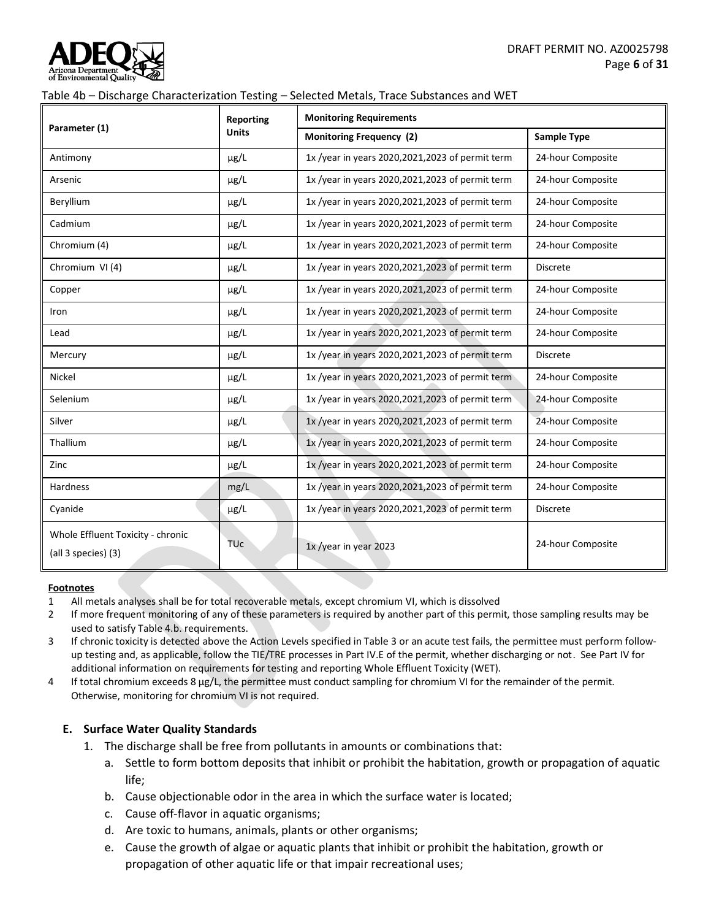

## Table 4b – Discharge Characterization Testing – Selected Metals, Trace Substances and WET

|                                                          | <b>Reporting</b><br><b>Units</b> | <b>Monitoring Requirements</b>                    |                    |  |
|----------------------------------------------------------|----------------------------------|---------------------------------------------------|--------------------|--|
| Parameter (1)                                            |                                  | <b>Monitoring Frequency (2)</b>                   | <b>Sample Type</b> |  |
| Antimony                                                 | $\mu$ g/L                        | 1x /year in years 2020,2021,2023 of permit term   | 24-hour Composite  |  |
| Arsenic                                                  | $\mu$ g/L                        | 1x /year in years 2020, 2021, 2023 of permit term | 24-hour Composite  |  |
| Beryllium                                                | $\mu$ g/L                        | 1x /year in years 2020, 2021, 2023 of permit term | 24-hour Composite  |  |
| Cadmium                                                  | $\mu$ g/L                        | 1x /year in years 2020, 2021, 2023 of permit term | 24-hour Composite  |  |
| Chromium (4)                                             | $\mu$ g/L                        | 1x /year in years 2020, 2021, 2023 of permit term | 24-hour Composite  |  |
| Chromium VI (4)                                          | $\mu$ g/L                        | 1x /year in years 2020, 2021, 2023 of permit term | Discrete           |  |
| Copper                                                   | $\mu$ g/L                        | 1x /year in years 2020, 2021, 2023 of permit term | 24-hour Composite  |  |
| Iron                                                     | $\mu$ g/L                        | 1x /year in years 2020, 2021, 2023 of permit term | 24-hour Composite  |  |
| Lead                                                     | $\mu$ g/L                        | 1x /year in years 2020, 2021, 2023 of permit term | 24-hour Composite  |  |
| Mercury                                                  | $\mu$ g/L                        | 1x /year in years 2020, 2021, 2023 of permit term | <b>Discrete</b>    |  |
| Nickel                                                   | $\mu$ g/L                        | 1x /year in years 2020, 2021, 2023 of permit term | 24-hour Composite  |  |
| Selenium                                                 | $\mu$ g/L                        | 1x /year in years 2020, 2021, 2023 of permit term | 24-hour Composite  |  |
| Silver                                                   | $\mu$ g/L                        | 1x /year in years 2020, 2021, 2023 of permit term | 24-hour Composite  |  |
| Thallium                                                 | $\mu$ g/L                        | 1x /year in years 2020, 2021, 2023 of permit term | 24-hour Composite  |  |
| Zinc                                                     | $\mu$ g/L                        | 1x /year in years 2020,2021,2023 of permit term   | 24-hour Composite  |  |
| Hardness                                                 | mg/L                             | 1x /year in years 2020, 2021, 2023 of permit term | 24-hour Composite  |  |
| Cyanide                                                  | $\mu$ g/L                        | 1x /year in years 2020, 2021, 2023 of permit term | <b>Discrete</b>    |  |
| Whole Effluent Toxicity - chronic<br>(all 3 species) (3) | <b>TUc</b>                       | 1x /year in year 2023                             | 24-hour Composite  |  |

#### **Footnotes**

- 1 All metals analyses shall be for total recoverable metals, except chromium VI, which is dissolved
- 2 If more frequent monitoring of any of these parameters is required by another part of this permit, those sampling results may be used to satisfy Table 4.b. requirements.
- 3 If chronic toxicity is detected above the Action Levels specified in Table 3 or an acute test fails, the permittee must perform followup testing and, as applicable, follow the TIE/TRE processes in Part IV.E of the permit, whether discharging or not. See Part IV for additional information on requirements for testing and reporting Whole Effluent Toxicity (WET).
- 4 If total chromium exceeds 8 µg/L, the permittee must conduct sampling for chromium VI for the remainder of the permit. Otherwise, monitoring for chromium VI is not required.

#### <span id="page-5-0"></span>**E. Surface Water Quality Standards**

- 1. The discharge shall be free from pollutants in amounts or combinations that:
	- a. Settle to form bottom deposits that inhibit or prohibit the habitation, growth or propagation of aquatic life;
	- b. Cause objectionable odor in the area in which the surface water is located;
	- c. Cause off-flavor in aquatic organisms;
	- d. Are toxic to humans, animals, plants or other organisms;
	- e. Cause the growth of algae or aquatic plants that inhibit or prohibit the habitation, growth or propagation of other aquatic life or that impair recreational uses;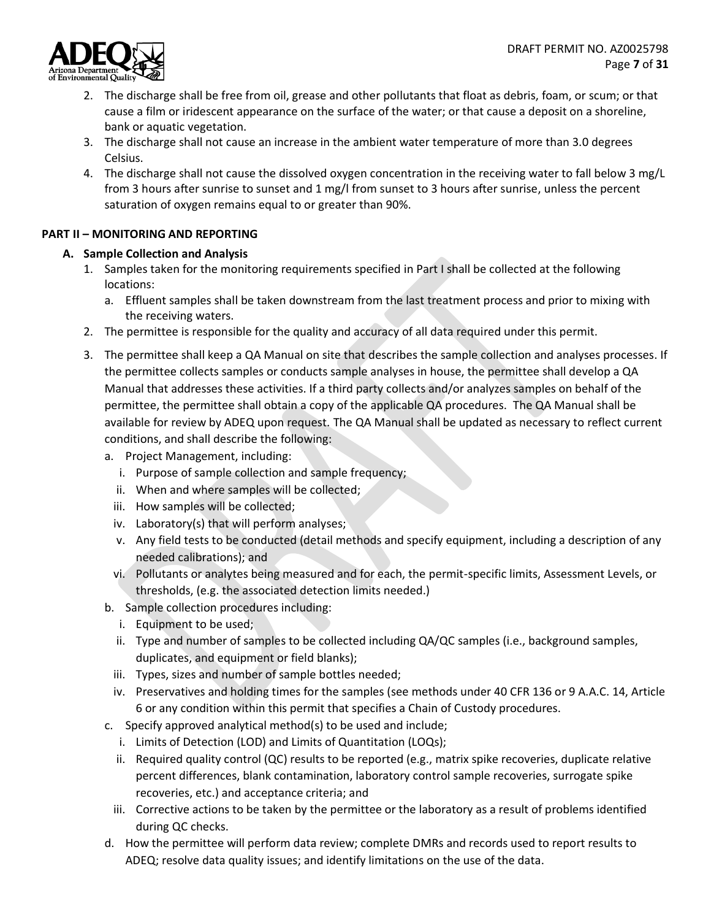

- 2. The discharge shall be free from oil, grease and other pollutants that float as debris, foam, or scum; or that cause a film or iridescent appearance on the surface of the water; or that cause a deposit on a shoreline, bank or aquatic vegetation.
- 3. The discharge shall not cause an increase in the ambient water temperature of more than 3.0 degrees Celsius.
- 4. The discharge shall not cause the dissolved oxygen concentration in the receiving water to fall below 3 mg/L from 3 hours after sunrise to sunset and 1 mg/l from sunset to 3 hours after sunrise, unless the percent saturation of oxygen remains equal to or greater than 90%.

# <span id="page-6-1"></span><span id="page-6-0"></span>**PART II – MONITORING AND REPORTING**

# **A. Sample Collection and Analysis**

- 1. Samples taken for the monitoring requirements specified in Part I shall be collected at the following locations:
	- a. Effluent samples shall be taken downstream from the last treatment process and prior to mixing with the receiving waters.
- 2. The permittee is responsible for the quality and accuracy of all data required under this permit.
- 3. The permittee shall keep a QA Manual on site that describes the sample collection and analyses processes. If the permittee collects samples or conducts sample analyses in house, the permittee shall develop a QA Manual that addresses these activities. If a third party collects and/or analyzes samples on behalf of the permittee, the permittee shall obtain a copy of the applicable QA procedures. The QA Manual shall be available for review by ADEQ upon request. The QA Manual shall be updated as necessary to reflect current conditions, and shall describe the following:
	- a. Project Management, including:
		- i. Purpose of sample collection and sample frequency;
		- ii. When and where samples will be collected;
		- iii. How samples will be collected;
		- iv. Laboratory(s) that will perform analyses;
		- v. Any field tests to be conducted (detail methods and specify equipment, including a description of any needed calibrations); and
	- vi. Pollutants or analytes being measured and for each, the permit-specific limits, Assessment Levels, or thresholds, (e.g. the associated detection limits needed.)
	- b. Sample collection procedures including:
		- i. Equipment to be used;
		- ii. Type and number of samples to be collected including QA/QC samples (i.e., background samples, duplicates, and equipment or field blanks);
		- iii. Types, sizes and number of sample bottles needed;
		- iv. Preservatives and holding times for the samples (see methods under 40 CFR 136 or 9 A.A.C. 14, Article 6 or any condition within this permit that specifies a Chain of Custody procedures.
	- c. Specify approved analytical method(s) to be used and include;
		- i. Limits of Detection (LOD) and Limits of Quantitation (LOQs);
		- ii. Required quality control (QC) results to be reported (e.g., matrix spike recoveries, duplicate relative percent differences, blank contamination, laboratory control sample recoveries, surrogate spike recoveries, etc.) and acceptance criteria; and
	- iii. Corrective actions to be taken by the permittee or the laboratory as a result of problems identified during QC checks.
	- d. How the permittee will perform data review; complete DMRs and records used to report results to ADEQ; resolve data quality issues; and identify limitations on the use of the data.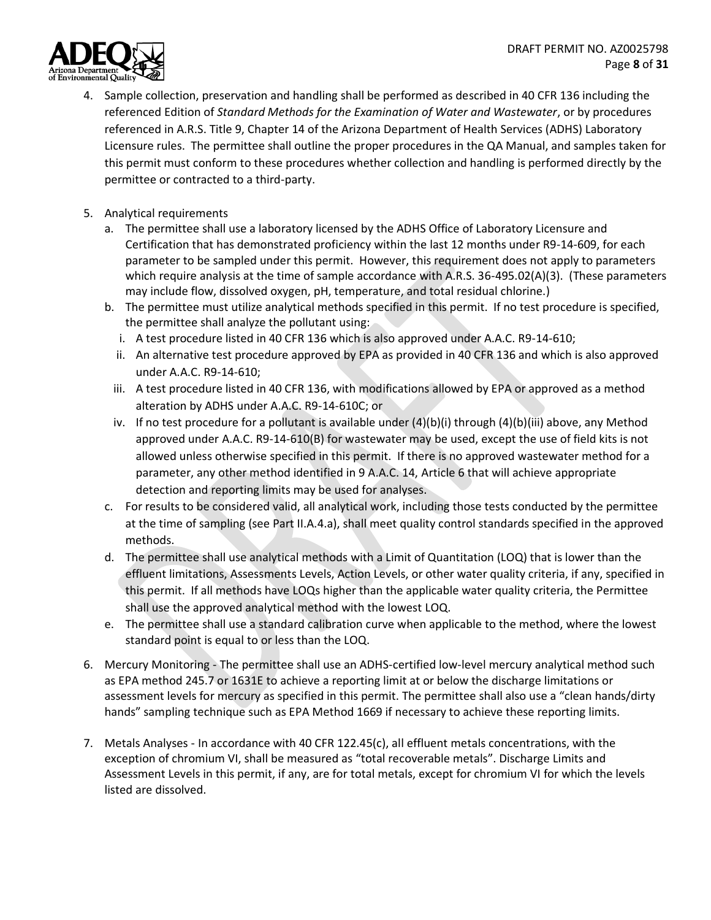

- 4. Sample collection, preservation and handling shall be performed as described in 40 CFR 136 including the referenced Edition of *Standard Methods for the Examination of Water and Wastewater*, or by procedures referenced in A.R.S. Title 9, Chapter 14 of the Arizona Department of Health Services (ADHS) Laboratory Licensure rules. The permittee shall outline the proper procedures in the QA Manual, and samples taken for this permit must conform to these procedures whether collection and handling is performed directly by the permittee or contracted to a third-party.
- 5. Analytical requirements
	- a. The permittee shall use a laboratory licensed by the ADHS Office of Laboratory Licensure and Certification that has demonstrated proficiency within the last 12 months under R9-14-609, for each parameter to be sampled under this permit. However, this requirement does not apply to parameters which require analysis at the time of sample accordance with A.R.S. 36-495.02(A)(3). (These parameters may include flow, dissolved oxygen, pH, temperature, and total residual chlorine.)
	- b. The permittee must utilize analytical methods specified in this permit. If no test procedure is specified, the permittee shall analyze the pollutant using:
		- i. A test procedure listed in 40 CFR 136 which is also approved under A.A.C. R9-14-610;
		- ii. An alternative test procedure approved by EPA as provided in 40 CFR 136 and which is also approved under A.A.C. R9-14-610;
		- iii. A test procedure listed in 40 CFR 136, with modifications allowed by EPA or approved as a method alteration by ADHS under A.A.C. R9-14-610C; or
		- iv. If no test procedure for a pollutant is available under (4)(b)(i) through (4)(b)(iii) above, any Method approved under A.A.C. R9-14-610(B) for wastewater may be used, except the use of field kits is not allowed unless otherwise specified in this permit. If there is no approved wastewater method for a parameter, any other method identified in 9 A.A.C. 14, Article 6 that will achieve appropriate detection and reporting limits may be used for analyses.
	- c. For results to be considered valid, all analytical work, including those tests conducted by the permittee at the time of sampling (see Part II.A.4.a), shall meet quality control standards specified in the approved methods.
	- d. The permittee shall use analytical methods with a Limit of Quantitation (LOQ) that is lower than the effluent limitations, Assessments Levels, Action Levels, or other water quality criteria, if any, specified in this permit. If all methods have LOQs higher than the applicable water quality criteria, the Permittee shall use the approved analytical method with the lowest LOQ.
	- e. The permittee shall use a standard calibration curve when applicable to the method, where the lowest standard point is equal to or less than the LOQ.
- 6. Mercury Monitoring The permittee shall use an ADHS-certified low-level mercury analytical method such as EPA method 245.7 or 1631E to achieve a reporting limit at or below the discharge limitations or assessment levels for mercury as specified in this permit. The permittee shall also use a "clean hands/dirty hands" sampling technique such as EPA Method 1669 if necessary to achieve these reporting limits.
- 7. Metals Analyses In accordance with 40 CFR 122.45(c), all effluent metals concentrations, with the exception of chromium VI, shall be measured as "total recoverable metals". Discharge Limits and Assessment Levels in this permit, if any, are for total metals, except for chromium VI for which the levels listed are dissolved.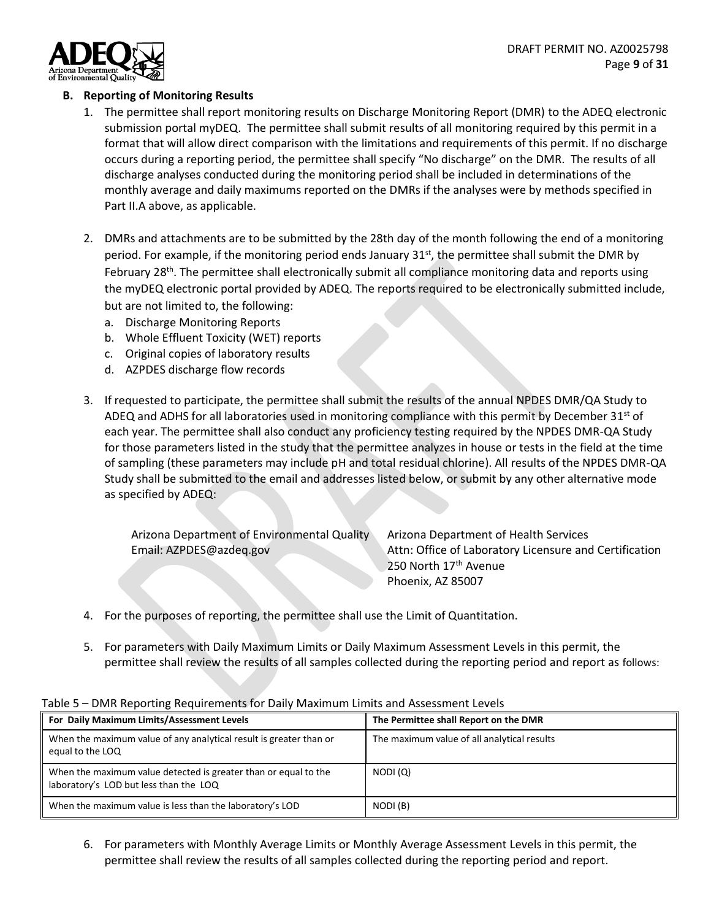

## <span id="page-8-0"></span>**B. Reporting of Monitoring Results**

- 1. The permittee shall report monitoring results on Discharge Monitoring Report (DMR) to the ADEQ electronic submission portal myDEQ. The permittee shall submit results of all monitoring required by this permit in a format that will allow direct comparison with the limitations and requirements of this permit. If no discharge occurs during a reporting period, the permittee shall specify "No discharge" on the DMR. The results of all discharge analyses conducted during the monitoring period shall be included in determinations of the monthly average and daily maximums reported on the DMRs if the analyses were by methods specified in Part II.A above, as applicable.
- 2. DMRs and attachments are to be submitted by the 28th day of the month following the end of a monitoring period. For example, if the monitoring period ends January 31<sup>st</sup>, the permittee shall submit the DMR by February 28<sup>th</sup>. The permittee shall electronically submit all compliance monitoring data and reports using the myDEQ electronic portal provided by ADEQ. The reports required to be electronically submitted include, but are not limited to, the following:
	- a. Discharge Monitoring Reports
	- b. Whole Effluent Toxicity (WET) reports
	- c. Original copies of laboratory results
	- d. AZPDES discharge flow records
- 3. If requested to participate, the permittee shall submit the results of the annual NPDES DMR/QA Study to ADEQ and ADHS for all laboratories used in monitoring compliance with this permit by December 31st of each year. The permittee shall also conduct any proficiency testing required by the NPDES DMR-QA Study for those parameters listed in the study that the permittee analyzes in house or tests in the field at the time of sampling (these parameters may include pH and total residual chlorine). All results of the NPDES DMR-QA Study shall be submitted to the email and addresses listed below, or submit by any other alternative mode as specified by ADEQ:

Arizona Department of Environmental Quality Email: AZPDES@azdeq.gov

Arizona Department of Health Services Attn: Office of Laboratory Licensure and Certification 250 North 17<sup>th</sup> Avenue Phoenix, AZ 85007

- 4. For the purposes of reporting, the permittee shall use the Limit of Quantitation.
- 5. For parameters with Daily Maximum Limits or Daily Maximum Assessment Levels in this permit, the permittee shall review the results of all samples collected during the reporting period and report as follows:

|  | Table 5 - DMR Reporting Requirements for Daily Maximum Limits and Assessment Levels |
|--|-------------------------------------------------------------------------------------|
|--|-------------------------------------------------------------------------------------|

| For Daily Maximum Limits/Assessment Levels                                                                | The Permittee shall Report on the DMR       |
|-----------------------------------------------------------------------------------------------------------|---------------------------------------------|
| When the maximum value of any analytical result is greater than or<br>equal to the LOQ                    | The maximum value of all analytical results |
| When the maximum value detected is greater than or equal to the<br>laboratory's LOD but less than the LOQ | NODI (Q)                                    |
| When the maximum value is less than the laboratory's LOD                                                  | NODI (B)                                    |

6. For parameters with Monthly Average Limits or Monthly Average Assessment Levels in this permit, the permittee shall review the results of all samples collected during the reporting period and report.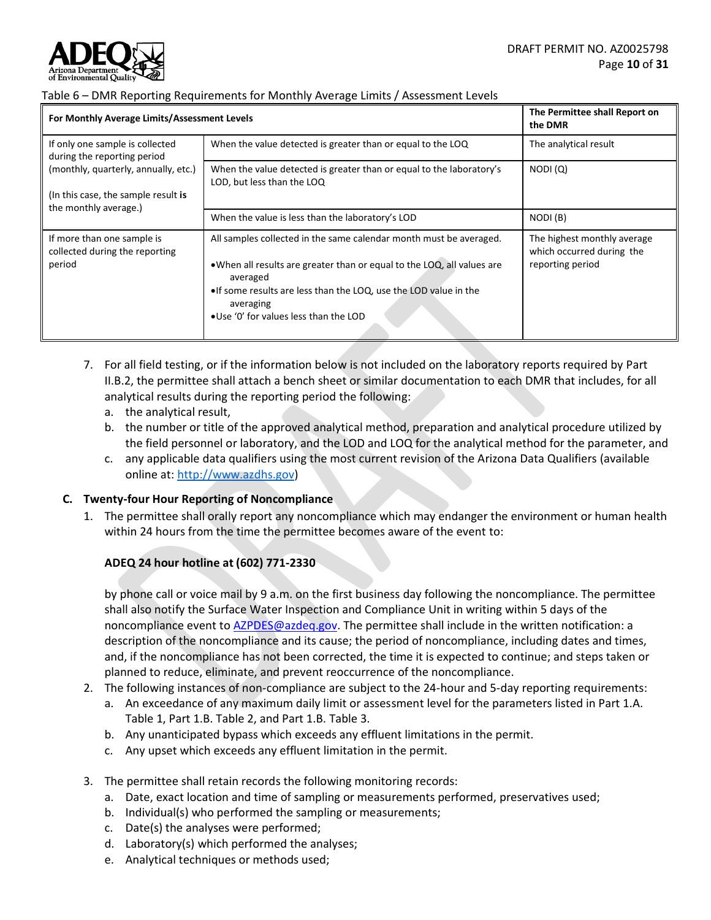

## Table 6 – DMR Reporting Requirements for Monthly Average Limits / Assessment Levels

| For Monthly Average Limits/Assessment Levels                           | The Permittee shall Report on<br>the DMR                                                           |                                                          |
|------------------------------------------------------------------------|----------------------------------------------------------------------------------------------------|----------------------------------------------------------|
| If only one sample is collected<br>during the reporting period         | When the value detected is greater than or equal to the LOQ                                        | The analytical result                                    |
| (monthly, quarterly, annually, etc.)                                   | When the value detected is greater than or equal to the laboratory's<br>LOD, but less than the LOQ | NODI(Q)                                                  |
| (In this case, the sample result is<br>the monthly average.)           |                                                                                                    |                                                          |
|                                                                        | When the value is less than the laboratory's LOD                                                   | NODI (B)                                                 |
| If more than one sample is<br>collected during the reporting<br>period | All samples collected in the same calendar month must be averaged.                                 | The highest monthly average<br>which occurred during the |
|                                                                        | • When all results are greater than or equal to the LOQ, all values are<br>averaged                | reporting period                                         |
|                                                                        | • If some results are less than the LOQ, use the LOD value in the<br>averaging                     |                                                          |
|                                                                        | ● Use '0' for values less than the LOD                                                             |                                                          |

- 7. For all field testing, or if the information below is not included on the laboratory reports required by Part II.B.2, the permittee shall attach a bench sheet or similar documentation to each DMR that includes, for all analytical results during the reporting period the following:
	- a. the analytical result,
	- b. the number or title of the approved analytical method, preparation and analytical procedure utilized by the field personnel or laboratory, and the LOD and LOQ for the analytical method for the parameter, and
	- c. any applicable data qualifiers using the most current revision of the Arizona Data Qualifiers (available online at: http://www.azdhs.gov)

#### <span id="page-9-0"></span>**C. Twenty-four Hour Reporting of Noncompliance**

1. The permittee shall orally report any noncompliance which may endanger the environment or human health within 24 hours from the time the permittee becomes aware of the event to:

# **ADEQ 24 hour hotline at (602) 771-2330**

by phone call or voice mail by 9 a.m. on the first business day following the noncompliance. The permittee shall also notify the Surface Water Inspection and Compliance Unit in writing within 5 days of the noncompliance event to **AZPDES@azdeq.gov**. The permittee shall include in the written notification: a description of the noncompliance and its cause; the period of noncompliance, including dates and times, and, if the noncompliance has not been corrected, the time it is expected to continue; and steps taken or planned to reduce, eliminate, and prevent reoccurrence of the noncompliance.

- 2. The following instances of non-compliance are subject to the 24-hour and 5-day reporting requirements:
	- a. An exceedance of any maximum daily limit or assessment level for the parameters listed in Part 1.A. Table 1, Part 1.B. Table 2, and Part 1.B. Table 3.
	- b. Any unanticipated bypass which exceeds any effluent limitations in the permit.
	- c. Any upset which exceeds any effluent limitation in the permit.
- 3. The permittee shall retain records the following monitoring records:
	- a. Date, exact location and time of sampling or measurements performed, preservatives used;
	- b. Individual(s) who performed the sampling or measurements;
	- c. Date(s) the analyses were performed;
	- d. Laboratory(s) which performed the analyses;
	- e. Analytical techniques or methods used;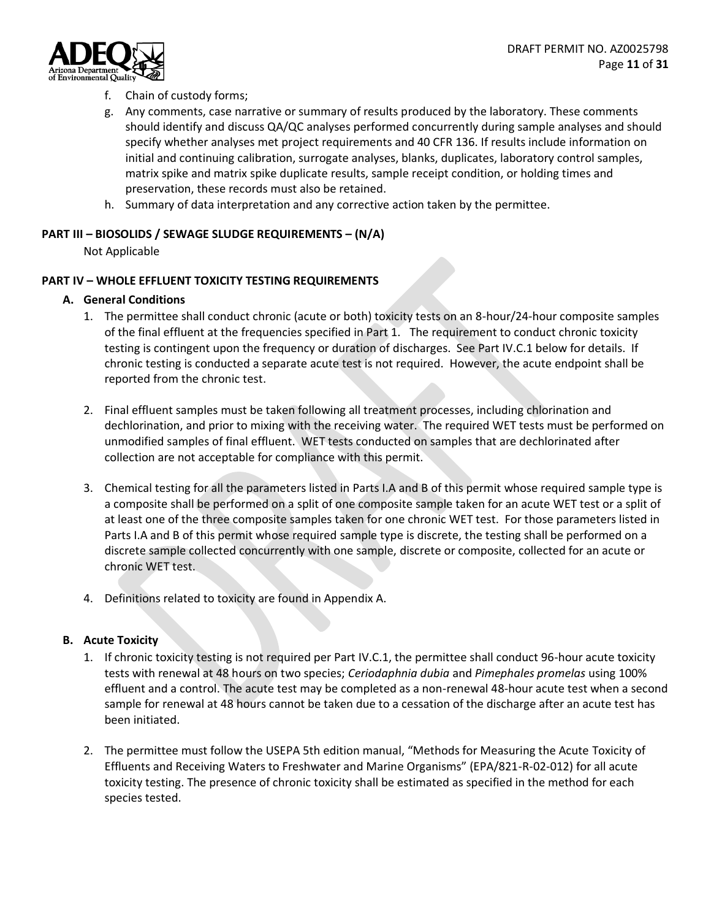

- f. Chain of custody forms;
- g. Any comments, case narrative or summary of results produced by the laboratory. These comments should identify and discuss QA/QC analyses performed concurrently during sample analyses and should specify whether analyses met project requirements and 40 CFR 136. If results include information on initial and continuing calibration, surrogate analyses, blanks, duplicates, laboratory control samples, matrix spike and matrix spike duplicate results, sample receipt condition, or holding times and preservation, these records must also be retained.
- h. Summary of data interpretation and any corrective action taken by the permittee.

## <span id="page-10-0"></span>**PART III – BIOSOLIDS / SEWAGE SLUDGE REQUIREMENTS – (N/A)**

Not Applicable

## <span id="page-10-2"></span><span id="page-10-1"></span>**PART IV – WHOLE EFFLUENT TOXICITY TESTING REQUIREMENTS**

#### **A. General Conditions**

- 1. The permittee shall conduct chronic (acute or both) toxicity tests on an 8-hour/24-hour composite samples of the final effluent at the frequencies specified in Part 1. The requirement to conduct chronic toxicity testing is contingent upon the frequency or duration of discharges. See Part IV.C.1 below for details. If chronic testing is conducted a separate acute test is not required. However, the acute endpoint shall be reported from the chronic test.
- 2. Final effluent samples must be taken following all treatment processes, including chlorination and dechlorination, and prior to mixing with the receiving water. The required WET tests must be performed on unmodified samples of final effluent. WET tests conducted on samples that are dechlorinated after collection are not acceptable for compliance with this permit.
- 3. Chemical testing for all the parameters listed in Parts I.A and B of this permit whose required sample type is a composite shall be performed on a split of one composite sample taken for an acute WET test or a split of at least one of the three composite samples taken for one chronic WET test. For those parameters listed in Parts I.A and B of this permit whose required sample type is discrete, the testing shall be performed on a discrete sample collected concurrently with one sample, discrete or composite, collected for an acute or chronic WET test.
- 4. Definitions related to toxicity are found in Appendix A.

#### <span id="page-10-3"></span>**B. Acute Toxicity**

- 1. If chronic toxicity testing is not required per Part IV.C.1, the permittee shall conduct 96-hour acute toxicity tests with renewal at 48 hours on two species; *Ceriodaphnia dubia* and *Pimephales promelas* using 100% effluent and a control. The acute test may be completed as a non-renewal 48-hour acute test when a second sample for renewal at 48 hours cannot be taken due to a cessation of the discharge after an acute test has been initiated.
- 2. The permittee must follow the USEPA 5th edition manual, "Methods for Measuring the Acute Toxicity of Effluents and Receiving Waters to Freshwater and Marine Organisms" (EPA/821-R-02-012) for all acute toxicity testing. The presence of chronic toxicity shall be estimated as specified in the method for each species tested.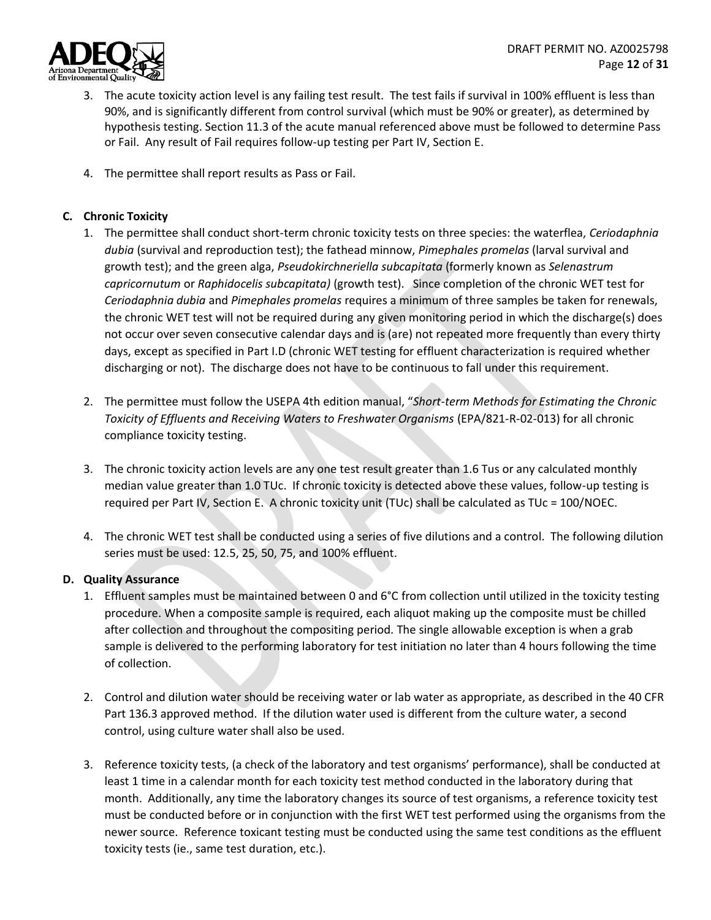

- 3. The acute toxicity action level is any failing test result. The test fails if survival in 100% effluent is less than 90%, and is significantly different from control survival (which must be 90% or greater), as determined by hypothesis testing. Section 11.3 of the acute manual referenced above must be followed to determine Pass or Fail. Any result of Fail requires follow-up testing per Part IV, Section E.
- 4. The permittee shall report results as Pass or Fail.

# <span id="page-11-0"></span>**C. Chronic Toxicity**

- 1. The permittee shall conduct short-term chronic toxicity tests on three species: the waterflea, *Ceriodaphnia dubia* (survival and reproduction test); the fathead minnow, *Pimephales promelas* (larval survival and growth test); and the green alga, *Pseudokirchneriella subcapitata* (formerly known as *Selenastrum capricornutum* or *Raphidocelis subcapitata)* (growth test). Since completion of the chronic WET test for *Ceriodaphnia dubia* and *Pimephales promelas* requires a minimum of three samples be taken for renewals, the chronic WET test will not be required during any given monitoring period in which the discharge(s) does not occur over seven consecutive calendar days and is (are) not repeated more frequently than every thirty days, except as specified in Part I.D (chronic WET testing for effluent characterization is required whether discharging or not). The discharge does not have to be continuous to fall under this requirement.
- 2. The permittee must follow the USEPA 4th edition manual, "*Short-term Methods for Estimating the Chronic Toxicity of Effluents and Receiving Waters to Freshwater Organisms* (EPA/821-R-02-013) for all chronic compliance toxicity testing.
- 3. The chronic toxicity action levels are any one test result greater than 1.6 Tus or any calculated monthly median value greater than 1.0 TUc. If chronic toxicity is detected above these values, follow-up testing is required per Part IV, Section E. A chronic toxicity unit (TUc) shall be calculated as TUc = 100/NOEC.
- 4. The chronic WET test shall be conducted using a series of five dilutions and a control. The following dilution series must be used: 12.5, 25, 50, 75, and 100% effluent.

#### <span id="page-11-1"></span>**D. Quality Assurance**

- 1. Effluent samples must be maintained between 0 and 6°C from collection until utilized in the toxicity testing procedure. When a composite sample is required, each aliquot making up the composite must be chilled after collection and throughout the compositing period. The single allowable exception is when a grab sample is delivered to the performing laboratory for test initiation no later than 4 hours following the time of collection.
- 2. Control and dilution water should be receiving water or lab water as appropriate, as described in the 40 CFR Part 136.3 approved method. If the dilution water used is different from the culture water, a second control, using culture water shall also be used.
- 3. Reference toxicity tests, (a check of the laboratory and test organisms' performance), shall be conducted at least 1 time in a calendar month for each toxicity test method conducted in the laboratory during that month. Additionally, any time the laboratory changes its source of test organisms, a reference toxicity test must be conducted before or in conjunction with the first WET test performed using the organisms from the newer source. Reference toxicant testing must be conducted using the same test conditions as the effluent toxicity tests (ie., same test duration, etc.).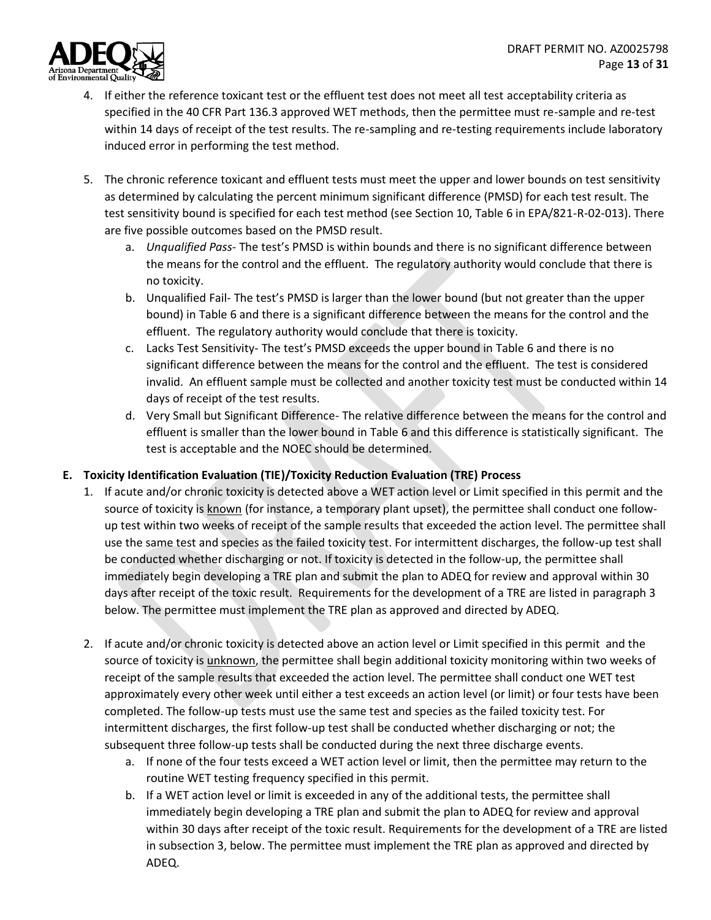

- 4. If either the reference toxicant test or the effluent test does not meet all test acceptability criteria as specified in the 40 CFR Part 136.3 approved WET methods, then the permittee must re-sample and re-test within 14 days of receipt of the test results. The re-sampling and re-testing requirements include laboratory induced error in performing the test method.
- 5. The chronic reference toxicant and effluent tests must meet the upper and lower bounds on test sensitivity as determined by calculating the percent minimum significant difference (PMSD) for each test result. The test sensitivity bound is specified for each test method (see Section 10, Table 6 in EPA/821-R-02-013). There are five possible outcomes based on the PMSD result.
	- a. *Unqualified Pass* The test's PMSD is within bounds and there is no significant difference between the means for the control and the effluent. The regulatory authority would conclude that there is no toxicity.
	- b. Unqualified Fail- The test's PMSD is larger than the lower bound (but not greater than the upper bound) in Table 6 and there is a significant difference between the means for the control and the effluent. The regulatory authority would conclude that there is toxicity.
	- c. Lacks Test Sensitivity- The test's PMSD exceeds the upper bound in Table 6 and there is no significant difference between the means for the control and the effluent. The test is considered invalid. An effluent sample must be collected and another toxicity test must be conducted within 14 days of receipt of the test results.
	- d. Very Small but Significant Difference- The relative difference between the means for the control and effluent is smaller than the lower bound in Table 6 and this difference is statistically significant. The test is acceptable and the NOEC should be determined.

# <span id="page-12-0"></span>**E. Toxicity Identification Evaluation (TIE)/Toxicity Reduction Evaluation (TRE) Process**

- 1. If acute and/or chronic toxicity is detected above a WET action level or Limit specified in this permit and the source of toxicity is known (for instance, a temporary plant upset), the permittee shall conduct one followup test within two weeks of receipt of the sample results that exceeded the action level. The permittee shall use the same test and species as the failed toxicity test. For intermittent discharges, the follow-up test shall be conducted whether discharging or not. If toxicity is detected in the follow-up, the permittee shall immediately begin developing a TRE plan and submit the plan to ADEQ for review and approval within 30 days after receipt of the toxic result. Requirements for the development of a TRE are listed in paragraph 3 below. The permittee must implement the TRE plan as approved and directed by ADEQ.
- 2. If acute and/or chronic toxicity is detected above an action level or Limit specified in this permit and the source of toxicity is unknown, the permittee shall begin additional toxicity monitoring within two weeks of receipt of the sample results that exceeded the action level. The permittee shall conduct one WET test approximately every other week until either a test exceeds an action level (or limit) or four tests have been completed. The follow-up tests must use the same test and species as the failed toxicity test. For intermittent discharges, the first follow-up test shall be conducted whether discharging or not; the subsequent three follow-up tests shall be conducted during the next three discharge events.
	- a. If none of the four tests exceed a WET action level or limit, then the permittee may return to the routine WET testing frequency specified in this permit.
	- b. If a WET action level or limit is exceeded in any of the additional tests, the permittee shall immediately begin developing a TRE plan and submit the plan to ADEQ for review and approval within 30 days after receipt of the toxic result. Requirements for the development of a TRE are listed in subsection 3, below. The permittee must implement the TRE plan as approved and directed by ADEQ.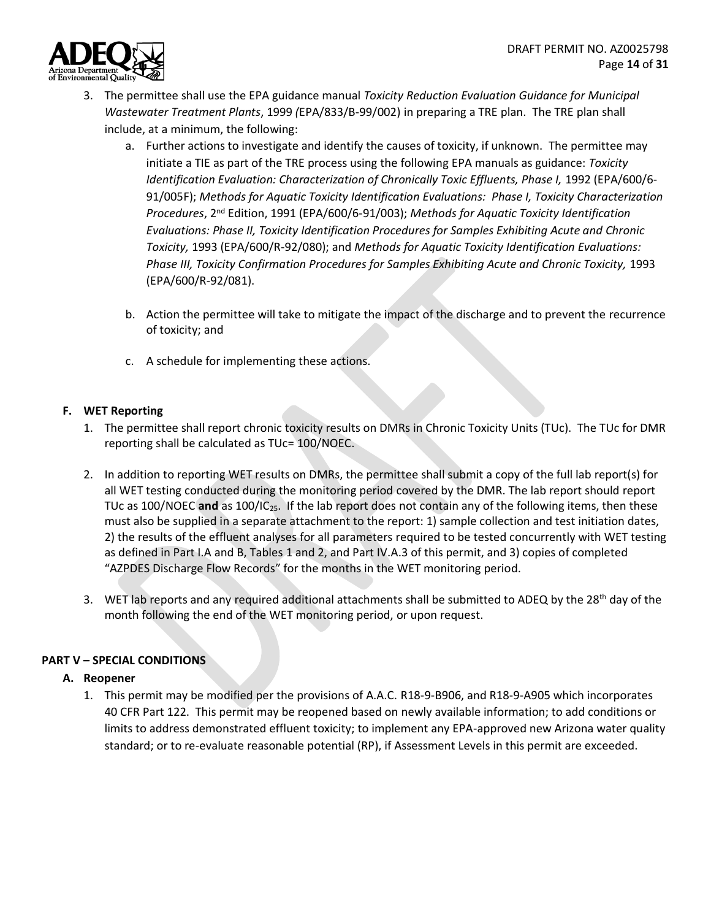

- 3. The permittee shall use the EPA guidance manual *Toxicity Reduction Evaluation Guidance for Municipal Wastewater Treatment Plants*, 1999 *(*EPA/833/B-99/002) in preparing a TRE plan. The TRE plan shall include, at a minimum, the following:
	- a. Further actions to investigate and identify the causes of toxicity, if unknown. The permittee may initiate a TIE as part of the TRE process using the following EPA manuals as guidance: *Toxicity*  Identification Evaluation: Characterization of Chronically Toxic Effluents, Phase I, 1992 (EPA/600/6-91/005F); *Methods for Aquatic Toxicity Identification Evaluations: Phase I, Toxicity Characterization Procedures*, 2nd Edition, 1991 (EPA/600/6-91/003); *Methods for Aquatic Toxicity Identification Evaluations: Phase II, Toxicity Identification Procedures for Samples Exhibiting Acute and Chronic Toxicity,* 1993 (EPA/600/R-92/080); and *Methods for Aquatic Toxicity Identification Evaluations:*  Phase III, Toxicity Confirmation Procedures for Samples Exhibiting Acute and Chronic Toxicity, 1993 (EPA/600/R-92/081).
	- b. Action the permittee will take to mitigate the impact of the discharge and to prevent the recurrence of toxicity; and
	- c. A schedule for implementing these actions.

# <span id="page-13-0"></span>**F. WET Reporting**

- 1. The permittee shall report chronic toxicity results on DMRs in Chronic Toxicity Units (TUc). The TUc for DMR reporting shall be calculated as TUc= 100/NOEC.
- 2. In addition to reporting WET results on DMRs, the permittee shall submit a copy of the full lab report(s) for all WET testing conducted during the monitoring period covered by the DMR. The lab report should report TUc as 100/NOEC **and** as 100/IC25. If the lab report does not contain any of the following items, then these must also be supplied in a separate attachment to the report: 1) sample collection and test initiation dates, 2) the results of the effluent analyses for all parameters required to be tested concurrently with WET testing as defined in Part I.A and B, Tables 1 and 2, and Part IV.A.3 of this permit, and 3) copies of completed "AZPDES Discharge Flow Records" for the months in the WET monitoring period.
- 3. WET lab reports and any required additional attachments shall be submitted to ADEQ by the 28<sup>th</sup> day of the month following the end of the WET monitoring period, or upon request.

# <span id="page-13-2"></span><span id="page-13-1"></span>**PART V – SPECIAL CONDITIONS**

# **A. Reopener**

1. This permit may be modified per the provisions of A.A.C. R18-9-B906, and R18-9-A905 which incorporates 40 CFR Part 122. This permit may be reopened based on newly available information; to add conditions or limits to address demonstrated effluent toxicity; to implement any EPA-approved new Arizona water quality standard; or to re-evaluate reasonable potential (RP), if Assessment Levels in this permit are exceeded.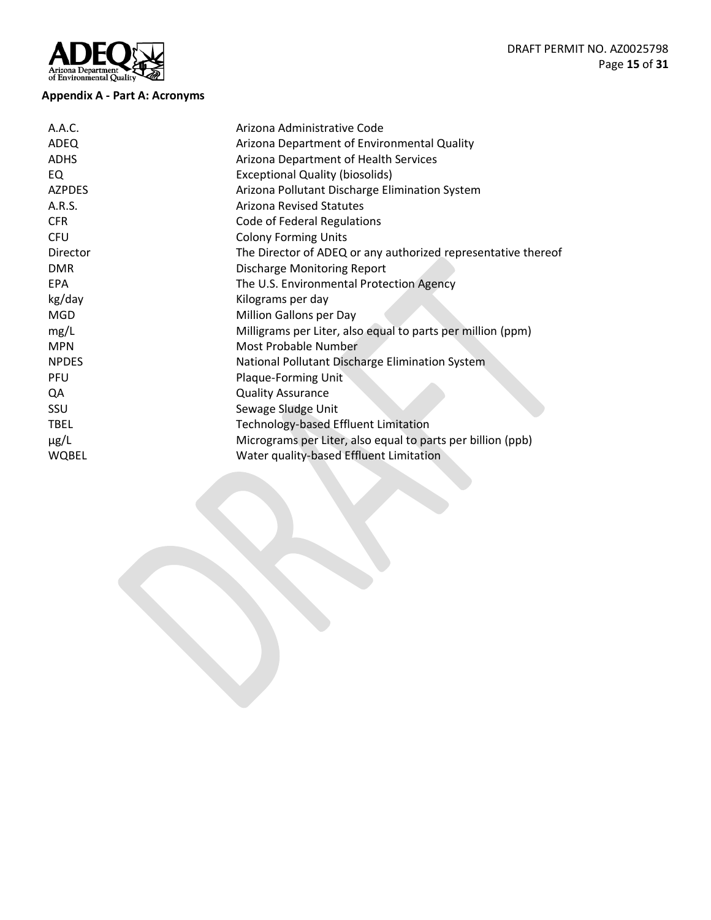

# <span id="page-14-0"></span>**Appendix A - Part A: Acronyms**

| A.A.C.        | Arizona Administrative Code                                   |
|---------------|---------------------------------------------------------------|
| ADEQ          | Arizona Department of Environmental Quality                   |
| <b>ADHS</b>   | Arizona Department of Health Services                         |
| EQ            | <b>Exceptional Quality (biosolids)</b>                        |
| <b>AZPDES</b> | Arizona Pollutant Discharge Elimination System                |
| A.R.S.        | <b>Arizona Revised Statutes</b>                               |
| <b>CFR</b>    | Code of Federal Regulations                                   |
| <b>CFU</b>    | <b>Colony Forming Units</b>                                   |
| Director      | The Director of ADEQ or any authorized representative thereof |
| <b>DMR</b>    | <b>Discharge Monitoring Report</b>                            |
| <b>EPA</b>    | The U.S. Environmental Protection Agency                      |
| kg/day        | Kilograms per day                                             |
| <b>MGD</b>    | Million Gallons per Day                                       |
| mg/L          | Milligrams per Liter, also equal to parts per million (ppm)   |
| <b>MPN</b>    | Most Probable Number                                          |
| <b>NPDES</b>  | National Pollutant Discharge Elimination System               |
| <b>PFU</b>    | Plaque-Forming Unit                                           |
| QA            | <b>Quality Assurance</b>                                      |
| SSU           | Sewage Sludge Unit                                            |
| <b>TBEL</b>   | Technology-based Effluent Limitation                          |
| $\mu$ g/L     | Micrograms per Liter, also equal to parts per billion (ppb)   |
| <b>WQBEL</b>  | Water quality-based Effluent Limitation                       |
|               |                                                               |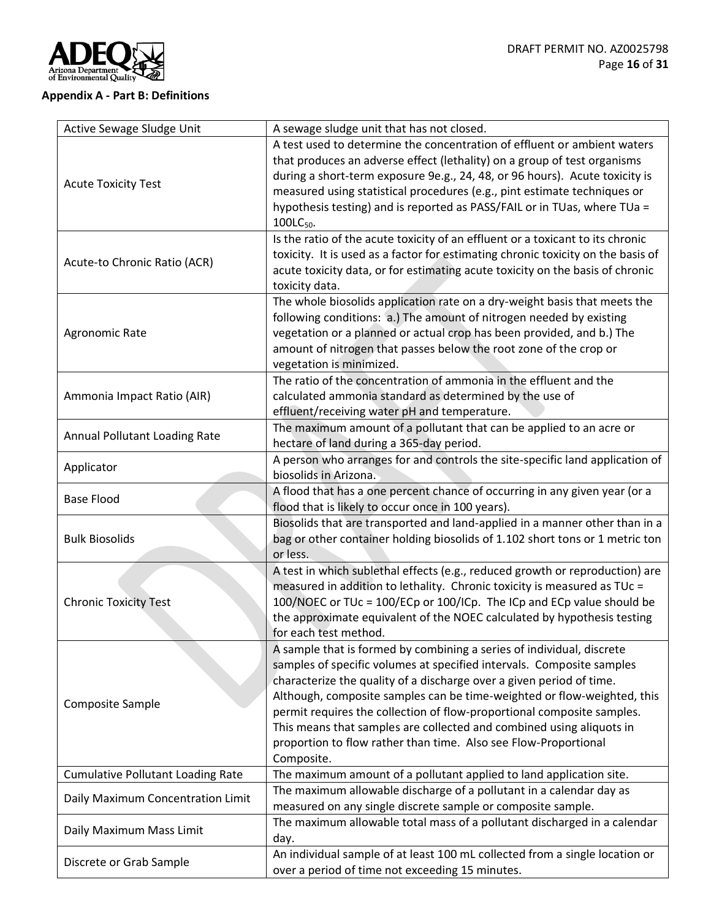

# <span id="page-15-0"></span>**Appendix A - Part B: Definitions**

| Active Sewage Sludge Unit                | A sewage sludge unit that has not closed.                                        |  |  |
|------------------------------------------|----------------------------------------------------------------------------------|--|--|
|                                          | A test used to determine the concentration of effluent or ambient waters         |  |  |
|                                          | that produces an adverse effect (lethality) on a group of test organisms         |  |  |
|                                          | during a short-term exposure 9e.g., 24, 48, or 96 hours). Acute toxicity is      |  |  |
| <b>Acute Toxicity Test</b>               | measured using statistical procedures (e.g., pint estimate techniques or         |  |  |
|                                          | hypothesis testing) and is reported as PASS/FAIL or in TUas, where TUa =         |  |  |
|                                          | 100LC <sub>50</sub> .                                                            |  |  |
|                                          | Is the ratio of the acute toxicity of an effluent or a toxicant to its chronic   |  |  |
|                                          | toxicity. It is used as a factor for estimating chronic toxicity on the basis of |  |  |
| Acute-to Chronic Ratio (ACR)             | acute toxicity data, or for estimating acute toxicity on the basis of chronic    |  |  |
|                                          | toxicity data.                                                                   |  |  |
|                                          | The whole biosolids application rate on a dry-weight basis that meets the        |  |  |
|                                          | following conditions: a.) The amount of nitrogen needed by existing              |  |  |
| Agronomic Rate                           | vegetation or a planned or actual crop has been provided, and b.) The            |  |  |
|                                          | amount of nitrogen that passes below the root zone of the crop or                |  |  |
|                                          | vegetation is minimized.                                                         |  |  |
|                                          | The ratio of the concentration of ammonia in the effluent and the                |  |  |
| Ammonia Impact Ratio (AIR)               | calculated ammonia standard as determined by the use of                          |  |  |
|                                          | effluent/receiving water pH and temperature.                                     |  |  |
|                                          | The maximum amount of a pollutant that can be applied to an acre or              |  |  |
| Annual Pollutant Loading Rate            | hectare of land during a 365-day period.                                         |  |  |
|                                          | A person who arranges for and controls the site-specific land application of     |  |  |
| Applicator                               | biosolids in Arizona.                                                            |  |  |
|                                          |                                                                                  |  |  |
| <b>Base Flood</b>                        | A flood that has a one percent chance of occurring in any given year (or a       |  |  |
|                                          | flood that is likely to occur once in 100 years).                                |  |  |
|                                          | Biosolids that are transported and land-applied in a manner other than in a      |  |  |
| <b>Bulk Biosolids</b>                    | bag or other container holding biosolids of 1.102 short tons or 1 metric ton     |  |  |
|                                          | or less.                                                                         |  |  |
|                                          | A test in which sublethal effects (e.g., reduced growth or reproduction) are     |  |  |
|                                          | measured in addition to lethality. Chronic toxicity is measured as TUc =         |  |  |
| <b>Chronic Toxicity Test</b>             | 100/NOEC or TUc = 100/ECp or 100/ICp. The ICp and ECp value should be            |  |  |
|                                          | the approximate equivalent of the NOEC calculated by hypothesis testing          |  |  |
|                                          | for each test method.                                                            |  |  |
|                                          | A sample that is formed by combining a series of individual, discrete            |  |  |
|                                          | samples of specific volumes at specified intervals. Composite samples            |  |  |
|                                          | characterize the quality of a discharge over a given period of time.             |  |  |
| Composite Sample                         | Although, composite samples can be time-weighted or flow-weighted, this          |  |  |
|                                          | permit requires the collection of flow-proportional composite samples.           |  |  |
|                                          | This means that samples are collected and combined using aliquots in             |  |  |
|                                          | proportion to flow rather than time. Also see Flow-Proportional                  |  |  |
|                                          | Composite.                                                                       |  |  |
| <b>Cumulative Pollutant Loading Rate</b> | The maximum amount of a pollutant applied to land application site.              |  |  |
| Daily Maximum Concentration Limit        | The maximum allowable discharge of a pollutant in a calendar day as              |  |  |
|                                          | measured on any single discrete sample or composite sample.                      |  |  |
| Daily Maximum Mass Limit                 | The maximum allowable total mass of a pollutant discharged in a calendar         |  |  |
|                                          | day.                                                                             |  |  |
| Discrete or Grab Sample                  | An individual sample of at least 100 mL collected from a single location or      |  |  |
|                                          | over a period of time not exceeding 15 minutes.                                  |  |  |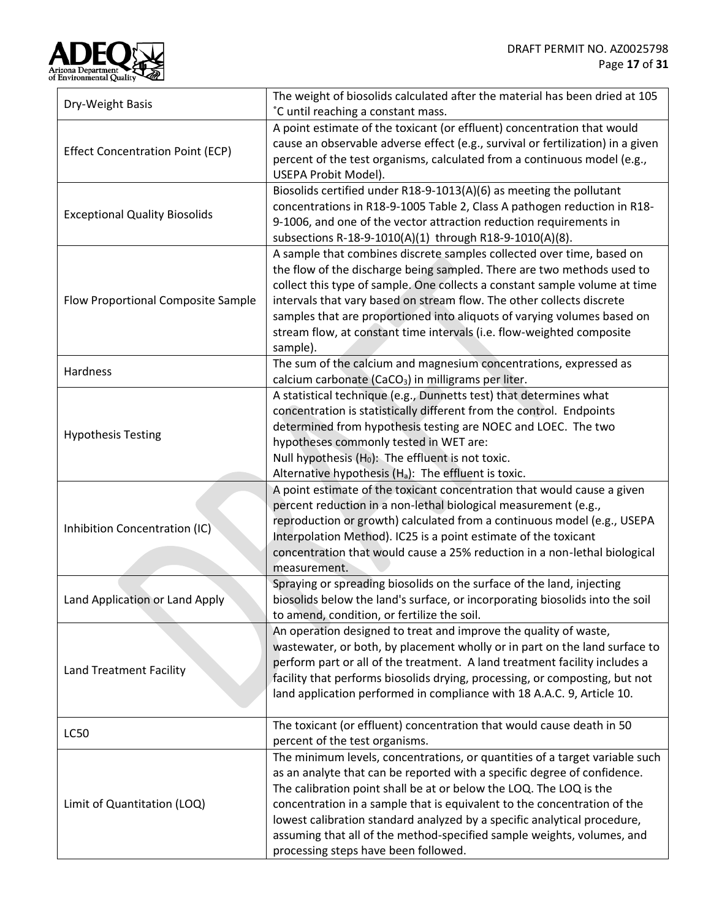

| Dry-Weight Basis                        | The weight of biosolids calculated after the material has been dried at 105<br>°C until reaching a constant mass.                                                                                                                                                                                                                                                                                                                                                                                       |  |  |
|-----------------------------------------|---------------------------------------------------------------------------------------------------------------------------------------------------------------------------------------------------------------------------------------------------------------------------------------------------------------------------------------------------------------------------------------------------------------------------------------------------------------------------------------------------------|--|--|
| <b>Effect Concentration Point (ECP)</b> | A point estimate of the toxicant (or effluent) concentration that would<br>cause an observable adverse effect (e.g., survival or fertilization) in a given<br>percent of the test organisms, calculated from a continuous model (e.g.,<br>USEPA Probit Model).                                                                                                                                                                                                                                          |  |  |
| <b>Exceptional Quality Biosolids</b>    | Biosolids certified under R18-9-1013(A)(6) as meeting the pollutant<br>concentrations in R18-9-1005 Table 2, Class A pathogen reduction in R18-<br>9-1006, and one of the vector attraction reduction requirements in<br>subsections R-18-9-1010(A)(1) through R18-9-1010(A)(8).                                                                                                                                                                                                                        |  |  |
| Flow Proportional Composite Sample      | A sample that combines discrete samples collected over time, based on<br>the flow of the discharge being sampled. There are two methods used to<br>collect this type of sample. One collects a constant sample volume at time<br>intervals that vary based on stream flow. The other collects discrete<br>samples that are proportioned into aliquots of varying volumes based on<br>stream flow, at constant time intervals (i.e. flow-weighted composite<br>sample).                                  |  |  |
| Hardness                                | The sum of the calcium and magnesium concentrations, expressed as<br>calcium carbonate (CaCO <sub>3</sub> ) in milligrams per liter.                                                                                                                                                                                                                                                                                                                                                                    |  |  |
| <b>Hypothesis Testing</b>               | A statistical technique (e.g., Dunnetts test) that determines what<br>concentration is statistically different from the control. Endpoints<br>determined from hypothesis testing are NOEC and LOEC. The two<br>hypotheses commonly tested in WET are:<br>Null hypothesis $(H_0)$ : The effluent is not toxic.<br>Alternative hypothesis $(H_a)$ : The effluent is toxic.                                                                                                                                |  |  |
| Inhibition Concentration (IC)           | A point estimate of the toxicant concentration that would cause a given<br>percent reduction in a non-lethal biological measurement (e.g.,<br>reproduction or growth) calculated from a continuous model (e.g., USEPA<br>Interpolation Method). IC25 is a point estimate of the toxicant<br>concentration that would cause a 25% reduction in a non-lethal biological<br>measurement.                                                                                                                   |  |  |
| Land Application or Land Apply          | Spraying or spreading biosolids on the surface of the land, injecting<br>biosolids below the land's surface, or incorporating biosolids into the soil<br>to amend, condition, or fertilize the soil.                                                                                                                                                                                                                                                                                                    |  |  |
| Land Treatment Facility                 | An operation designed to treat and improve the quality of waste,<br>wastewater, or both, by placement wholly or in part on the land surface to<br>perform part or all of the treatment. A land treatment facility includes a<br>facility that performs biosolids drying, processing, or composting, but not<br>land application performed in compliance with 18 A.A.C. 9, Article 10.                                                                                                                   |  |  |
| <b>LC50</b>                             | The toxicant (or effluent) concentration that would cause death in 50<br>percent of the test organisms.                                                                                                                                                                                                                                                                                                                                                                                                 |  |  |
| Limit of Quantitation (LOQ)             | The minimum levels, concentrations, or quantities of a target variable such<br>as an analyte that can be reported with a specific degree of confidence.<br>The calibration point shall be at or below the LOQ. The LOQ is the<br>concentration in a sample that is equivalent to the concentration of the<br>lowest calibration standard analyzed by a specific analytical procedure,<br>assuming that all of the method-specified sample weights, volumes, and<br>processing steps have been followed. |  |  |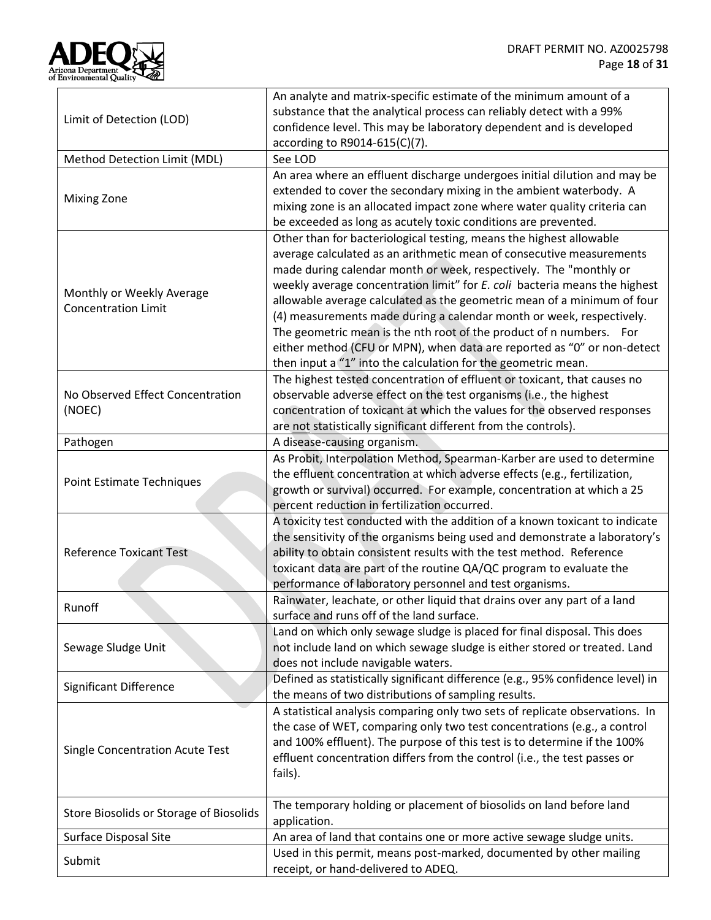

| Limit of Detection (LOD)                                | An analyte and matrix-specific estimate of the minimum amount of a<br>substance that the analytical process can reliably detect with a 99%<br>confidence level. This may be laboratory dependent and is developed<br>according to R9014-615(C)(7).                                                                                                                                                                                                                                                                                                                                                                                                                   |  |  |
|---------------------------------------------------------|----------------------------------------------------------------------------------------------------------------------------------------------------------------------------------------------------------------------------------------------------------------------------------------------------------------------------------------------------------------------------------------------------------------------------------------------------------------------------------------------------------------------------------------------------------------------------------------------------------------------------------------------------------------------|--|--|
| Method Detection Limit (MDL)                            | See LOD                                                                                                                                                                                                                                                                                                                                                                                                                                                                                                                                                                                                                                                              |  |  |
| <b>Mixing Zone</b>                                      | An area where an effluent discharge undergoes initial dilution and may be<br>extended to cover the secondary mixing in the ambient waterbody. A<br>mixing zone is an allocated impact zone where water quality criteria can<br>be exceeded as long as acutely toxic conditions are prevented.                                                                                                                                                                                                                                                                                                                                                                        |  |  |
| Monthly or Weekly Average<br><b>Concentration Limit</b> | Other than for bacteriological testing, means the highest allowable<br>average calculated as an arithmetic mean of consecutive measurements<br>made during calendar month or week, respectively. The "monthly or<br>weekly average concentration limit" for E. coli bacteria means the highest<br>allowable average calculated as the geometric mean of a minimum of four<br>(4) measurements made during a calendar month or week, respectively.<br>The geometric mean is the nth root of the product of n numbers. For<br>either method (CFU or MPN), when data are reported as "0" or non-detect<br>then input a "1" into the calculation for the geometric mean. |  |  |
| No Observed Effect Concentration<br>(NOEC)              | The highest tested concentration of effluent or toxicant, that causes no<br>observable adverse effect on the test organisms (i.e., the highest<br>concentration of toxicant at which the values for the observed responses<br>are not statistically significant different from the controls).                                                                                                                                                                                                                                                                                                                                                                        |  |  |
| Pathogen                                                | A disease-causing organism.                                                                                                                                                                                                                                                                                                                                                                                                                                                                                                                                                                                                                                          |  |  |
| Point Estimate Techniques                               | As Probit, Interpolation Method, Spearman-Karber are used to determine<br>the effluent concentration at which adverse effects (e.g., fertilization,<br>growth or survival) occurred. For example, concentration at which a 25<br>percent reduction in fertilization occurred.                                                                                                                                                                                                                                                                                                                                                                                        |  |  |
| <b>Reference Toxicant Test</b>                          | A toxicity test conducted with the addition of a known toxicant to indicate<br>the sensitivity of the organisms being used and demonstrate a laboratory's<br>ability to obtain consistent results with the test method. Reference<br>toxicant data are part of the routine QA/QC program to evaluate the<br>performance of laboratory personnel and test organisms.                                                                                                                                                                                                                                                                                                  |  |  |
| Runoff                                                  | Rainwater, leachate, or other liquid that drains over any part of a land<br>surface and runs off of the land surface.                                                                                                                                                                                                                                                                                                                                                                                                                                                                                                                                                |  |  |
| Sewage Sludge Unit                                      | Land on which only sewage sludge is placed for final disposal. This does<br>not include land on which sewage sludge is either stored or treated. Land<br>does not include navigable waters.                                                                                                                                                                                                                                                                                                                                                                                                                                                                          |  |  |
| Significant Difference                                  | Defined as statistically significant difference (e.g., 95% confidence level) in<br>the means of two distributions of sampling results.                                                                                                                                                                                                                                                                                                                                                                                                                                                                                                                               |  |  |
| Single Concentration Acute Test                         | A statistical analysis comparing only two sets of replicate observations. In<br>the case of WET, comparing only two test concentrations (e.g., a control<br>and 100% effluent). The purpose of this test is to determine if the 100%<br>effluent concentration differs from the control (i.e., the test passes or<br>fails).                                                                                                                                                                                                                                                                                                                                         |  |  |
| Store Biosolids or Storage of Biosolids                 | The temporary holding or placement of biosolids on land before land<br>application.                                                                                                                                                                                                                                                                                                                                                                                                                                                                                                                                                                                  |  |  |
| Surface Disposal Site                                   | An area of land that contains one or more active sewage sludge units.                                                                                                                                                                                                                                                                                                                                                                                                                                                                                                                                                                                                |  |  |
| Submit                                                  | Used in this permit, means post-marked, documented by other mailing<br>receipt, or hand-delivered to ADEQ.                                                                                                                                                                                                                                                                                                                                                                                                                                                                                                                                                           |  |  |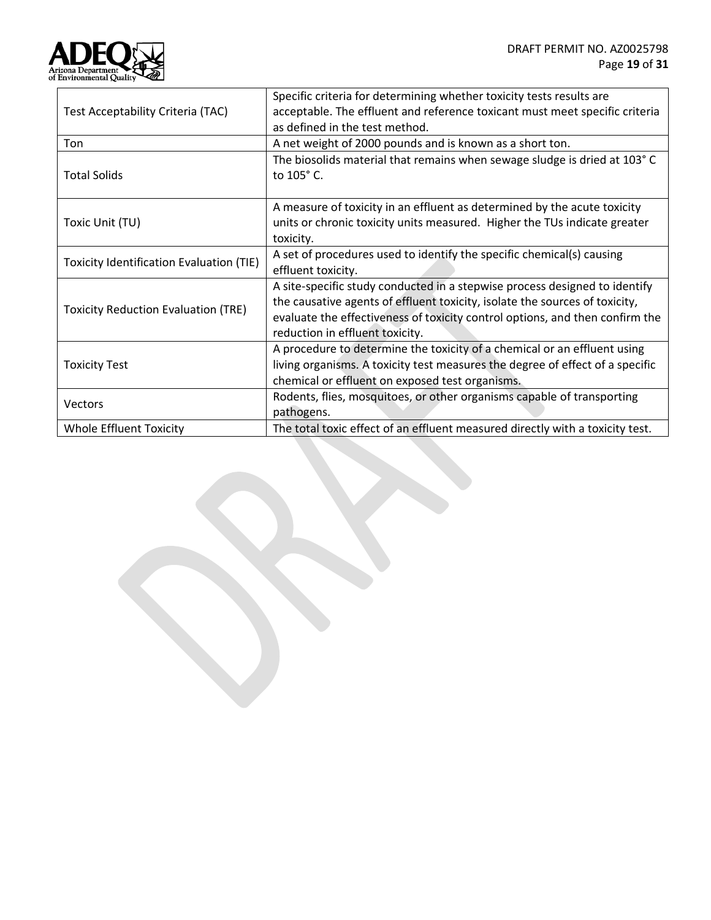

| Test Acceptability Criteria (TAC)               | Specific criteria for determining whether toxicity tests results are<br>acceptable. The effluent and reference toxicant must meet specific criteria<br>as defined in the test method.                                                                                        |  |  |
|-------------------------------------------------|------------------------------------------------------------------------------------------------------------------------------------------------------------------------------------------------------------------------------------------------------------------------------|--|--|
| <b>Ton</b>                                      | A net weight of 2000 pounds and is known as a short ton.                                                                                                                                                                                                                     |  |  |
| <b>Total Solids</b>                             | The biosolids material that remains when sewage sludge is dried at 103° C<br>to 105° C.                                                                                                                                                                                      |  |  |
| Toxic Unit (TU)                                 | A measure of toxicity in an effluent as determined by the acute toxicity<br>units or chronic toxicity units measured. Higher the TUs indicate greater<br>toxicity.                                                                                                           |  |  |
| <b>Toxicity Identification Evaluation (TIE)</b> | A set of procedures used to identify the specific chemical(s) causing<br>effluent toxicity.                                                                                                                                                                                  |  |  |
| <b>Toxicity Reduction Evaluation (TRE)</b>      | A site-specific study conducted in a stepwise process designed to identify<br>the causative agents of effluent toxicity, isolate the sources of toxicity,<br>evaluate the effectiveness of toxicity control options, and then confirm the<br>reduction in effluent toxicity. |  |  |
| <b>Toxicity Test</b>                            | A procedure to determine the toxicity of a chemical or an effluent using<br>living organisms. A toxicity test measures the degree of effect of a specific<br>chemical or effluent on exposed test organisms.                                                                 |  |  |
| <b>Vectors</b>                                  | Rodents, flies, mosquitoes, or other organisms capable of transporting<br>pathogens.                                                                                                                                                                                         |  |  |
| Whole Effluent Toxicity                         | The total toxic effect of an effluent measured directly with a toxicity test.                                                                                                                                                                                                |  |  |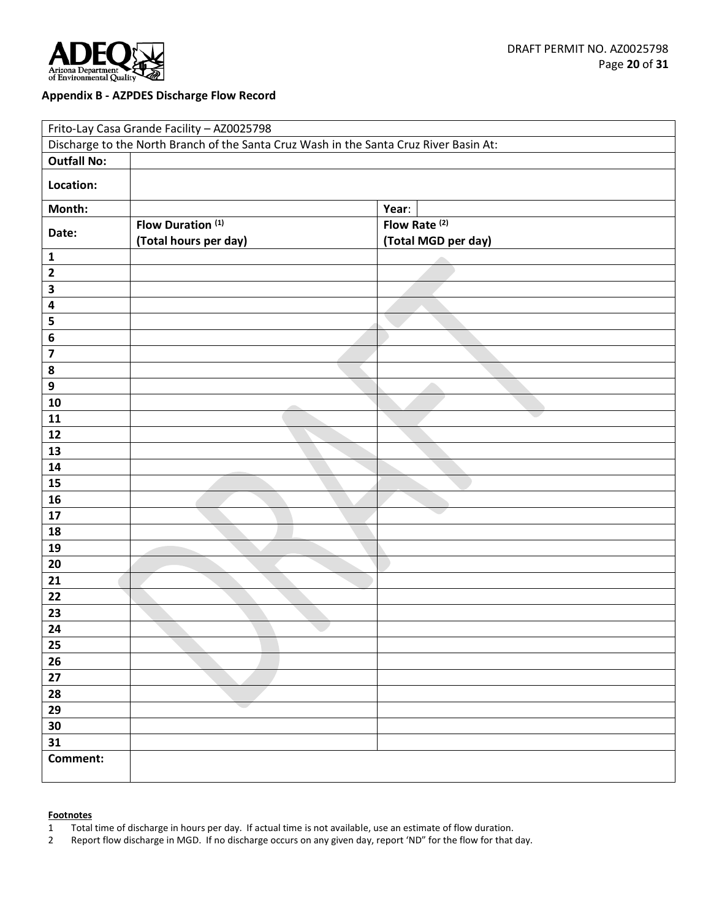

#### <span id="page-19-0"></span>**Appendix B - AZPDES Discharge Flow Record**

|                                                                                        | Frito-Lay Casa Grande Facility - AZ0025798            |                                                 |  |  |
|----------------------------------------------------------------------------------------|-------------------------------------------------------|-------------------------------------------------|--|--|
| Discharge to the North Branch of the Santa Cruz Wash in the Santa Cruz River Basin At: |                                                       |                                                 |  |  |
| <b>Outfall No:</b>                                                                     |                                                       |                                                 |  |  |
| Location:                                                                              |                                                       |                                                 |  |  |
| Month:                                                                                 |                                                       | Year:                                           |  |  |
| Date:                                                                                  | Flow Duration <sup>(1)</sup><br>(Total hours per day) | Flow Rate <sup>(2)</sup><br>(Total MGD per day) |  |  |
| $\mathbf{1}$                                                                           |                                                       |                                                 |  |  |
| $\mathbf{2}$                                                                           |                                                       |                                                 |  |  |
| 3                                                                                      |                                                       |                                                 |  |  |
| $\overline{\mathbf{4}}$                                                                |                                                       |                                                 |  |  |
| 5                                                                                      |                                                       |                                                 |  |  |
| $\bf 6$                                                                                |                                                       |                                                 |  |  |
| $\overline{\mathbf{z}}$                                                                |                                                       |                                                 |  |  |
| $\pmb{8}$                                                                              |                                                       |                                                 |  |  |
| 9                                                                                      |                                                       |                                                 |  |  |
| 10                                                                                     |                                                       |                                                 |  |  |
| 11                                                                                     |                                                       |                                                 |  |  |
| 12                                                                                     |                                                       |                                                 |  |  |
| 13                                                                                     |                                                       |                                                 |  |  |
| 14                                                                                     |                                                       |                                                 |  |  |
| 15                                                                                     |                                                       |                                                 |  |  |
| 16                                                                                     |                                                       |                                                 |  |  |
| 17                                                                                     |                                                       |                                                 |  |  |
| 18                                                                                     |                                                       |                                                 |  |  |
| 19                                                                                     |                                                       |                                                 |  |  |
| 20                                                                                     |                                                       |                                                 |  |  |
| 21                                                                                     |                                                       |                                                 |  |  |
| 22                                                                                     |                                                       |                                                 |  |  |
| 23                                                                                     |                                                       |                                                 |  |  |
| 24                                                                                     |                                                       |                                                 |  |  |
| 25                                                                                     |                                                       |                                                 |  |  |
| 26                                                                                     |                                                       |                                                 |  |  |
| $27$                                                                                   |                                                       |                                                 |  |  |
| 28                                                                                     |                                                       |                                                 |  |  |
| 29                                                                                     |                                                       |                                                 |  |  |
| $30\,$                                                                                 |                                                       |                                                 |  |  |
| 31                                                                                     |                                                       |                                                 |  |  |
| Comment:                                                                               |                                                       |                                                 |  |  |

- Total time of discharge in hours per day. If actual time is not available, use an estimate of flow duration.
- Report flow discharge in MGD. If no discharge occurs on any given day, report 'ND" for the flow for that day.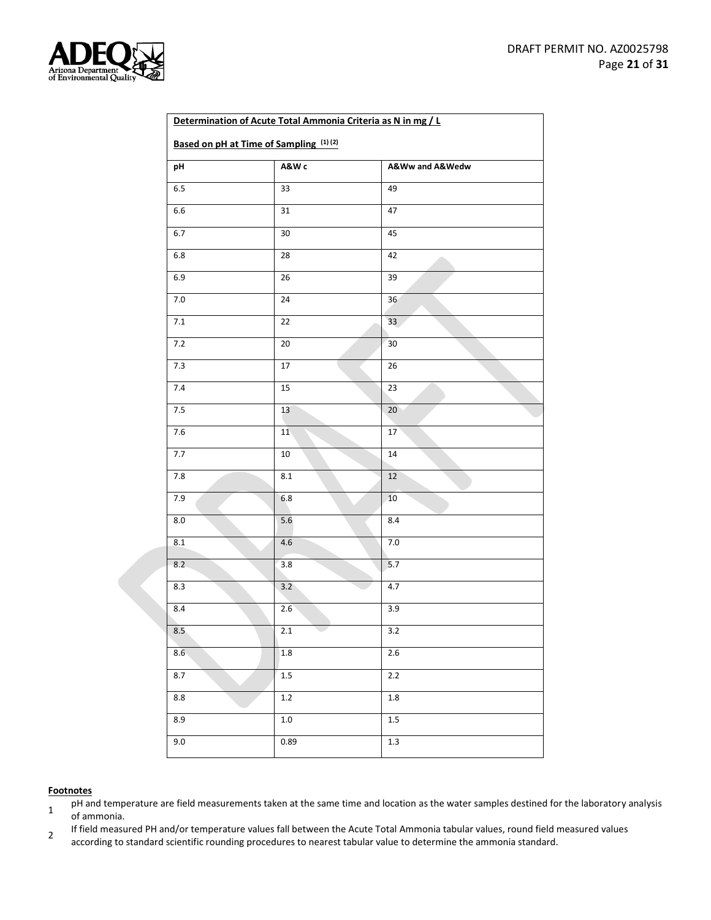

| Determination of Acute Total Ammonia Criteria as N in mg / L<br>Based on pH at Time of Sampling (1)(2) |         |                 |  |
|--------------------------------------------------------------------------------------------------------|---------|-----------------|--|
|                                                                                                        |         |                 |  |
| pH                                                                                                     | A&W c   | A&Ww and A&Wedw |  |
| $6.5\,$                                                                                                | 33      | 49              |  |
| 6.6                                                                                                    | 31      | 47              |  |
| $6.7\,$                                                                                                | $30\,$  | 45              |  |
| $6.8\,$                                                                                                | 28      | 42              |  |
| $6.9\,$                                                                                                | 26      | 39              |  |
| $7.0\,$                                                                                                | 24      | 36              |  |
| $7.1\,$                                                                                                | 22      | $\overline{33}$ |  |
| $7.2\,$                                                                                                | 20      | 30              |  |
| 7.3                                                                                                    | 17      | 26              |  |
| $7.4\,$                                                                                                | 15      | 23              |  |
| 7.5                                                                                                    | $13\,$  | 20              |  |
| $7.6$                                                                                                  | 11      | 17              |  |
| $7.7\,$                                                                                                | $10\,$  | $14\,$          |  |
| 7.8                                                                                                    | 8.1     | 12              |  |
| $7.9$                                                                                                  | 6.8     | 10              |  |
| $8.0\,$                                                                                                | 5.6     | 8.4             |  |
| $\bf 8.1$                                                                                              | 4.6     | $7.0\,$         |  |
| 8.2                                                                                                    | 3.8     | 5.7             |  |
| 8.3                                                                                                    | 3.2     | 4.7             |  |
| $8.4\,$                                                                                                | 2.6     | 3.9             |  |
| 8.5                                                                                                    | 2.1     | $3.2$           |  |
| 8.6                                                                                                    | 1.8     | 2.6             |  |
| 8.7                                                                                                    | $1.5\,$ | 2.2             |  |
| 8.8                                                                                                    | $1.2\,$ | $1.8\,$         |  |
| 8.9                                                                                                    | $1.0\,$ | 1.5             |  |
| 9.0                                                                                                    | 0.89    | $1.3\,$         |  |

#### **Footnotes**

1 pH and temperature are field measurements taken at the same time and location as the water samples destined for the laboratory analysis of ammonia.

2 If field measured PH and/or temperature values fall between the Acute Total Ammonia tabular values, round field measured values according to standard scientific rounding procedures to nearest tabular value to determine the ammonia standard.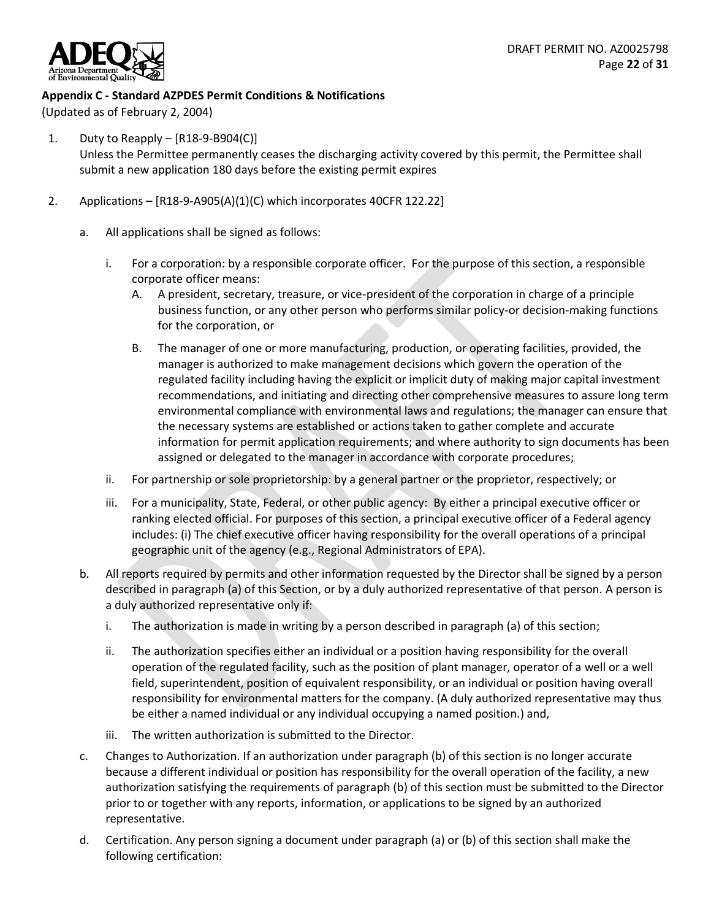

## <span id="page-21-0"></span>**Appendix C - Standard AZPDES Permit Conditions & Notifications**

(Updated as of February 2, 2004)

- 1. Duty to Reapply [R18-9-B904(C)] Unless the Permittee permanently ceases the discharging activity covered by this permit, the Permittee shall submit a new application 180 days before the existing permit expires
- 2. Applications [R18-9-A905(A)(1)(C) which incorporates 40CFR 122.22]
	- a. All applications shall be signed as follows:
		- i. For a corporation: by a responsible corporate officer. For the purpose of this section, a responsible corporate officer means:
			- A. A president, secretary, treasure, or vice-president of the corporation in charge of a principle business function, or any other person who performs similar policy-or decision-making functions for the corporation, or
			- B. The manager of one or more manufacturing, production, or operating facilities, provided, the manager is authorized to make management decisions which govern the operation of the regulated facility including having the explicit or implicit duty of making major capital investment recommendations, and initiating and directing other comprehensive measures to assure long term environmental compliance with environmental laws and regulations; the manager can ensure that the necessary systems are established or actions taken to gather complete and accurate information for permit application requirements; and where authority to sign documents has been assigned or delegated to the manager in accordance with corporate procedures;
		- ii. For partnership or sole proprietorship: by a general partner or the proprietor, respectively; or
		- iii. For a municipality, State, Federal, or other public agency: By either a principal executive officer or ranking elected official. For purposes of this section, a principal executive officer of a Federal agency includes: (i) The chief executive officer having responsibility for the overall operations of a principal geographic unit of the agency (e.g., Regional Administrators of EPA).
	- b. All reports required by permits and other information requested by the Director shall be signed by a person described in paragraph (a) of this Section, or by a duly authorized representative of that person. A person is a duly authorized representative only if:
		- i. The authorization is made in writing by a person described in paragraph (a) of this section;
		- ii. The authorization specifies either an individual or a position having responsibility for the overall operation of the regulated facility, such as the position of plant manager, operator of a well or a well field, superintendent, position of equivalent responsibility, or an individual or position having overall responsibility for environmental matters for the company. (A duly authorized representative may thus be either a named individual or any individual occupying a named position.) and,
		- iii. The written authorization is submitted to the Director.
	- c. Changes to Authorization. If an authorization under paragraph (b) of this section is no longer accurate because a different individual or position has responsibility for the overall operation of the facility, a new authorization satisfying the requirements of paragraph (b) of this section must be submitted to the Director prior to or together with any reports, information, or applications to be signed by an authorized representative.
	- d. Certification. Any person signing a document under paragraph (a) or (b) of this section shall make the following certification: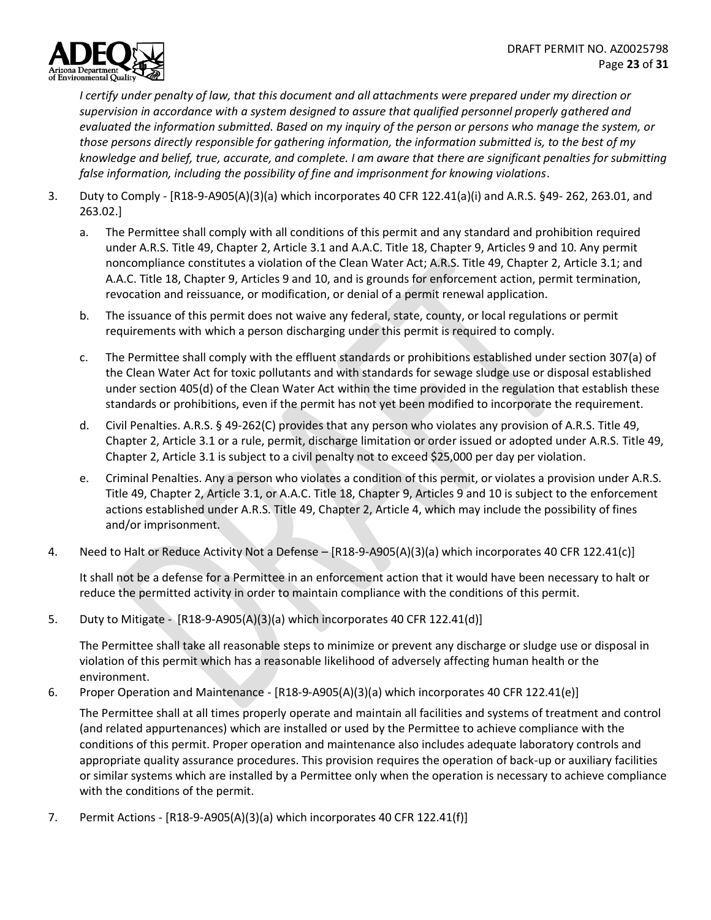

*I certify under penalty of law, that this document and all attachments were prepared under my direction or supervision in accordance with a system designed to assure that qualified personnel properly gathered and evaluated the information submitted. Based on my inquiry of the person or persons who manage the system, or those persons directly responsible for gathering information, the information submitted is, to the best of my knowledge and belief, true, accurate, and complete. I am aware that there are significant penalties for submitting false information, including the possibility of fine and imprisonment for knowing violations*.

- 3. Duty to Comply [R18-9-A905(A)(3)(a) which incorporates 40 CFR 122.41(a)(i) and A.R.S. §49- 262, 263.01, and 263.02.]
	- a. The Permittee shall comply with all conditions of this permit and any standard and prohibition required under A.R.S. Title 49, Chapter 2, Article 3.1 and A.A.C. Title 18, Chapter 9, Articles 9 and 10. Any permit noncompliance constitutes a violation of the Clean Water Act; A.R.S. Title 49, Chapter 2, Article 3.1; and A.A.C. Title 18, Chapter 9, Articles 9 and 10, and is grounds for enforcement action, permit termination, revocation and reissuance, or modification, or denial of a permit renewal application.
	- b. The issuance of this permit does not waive any federal, state, county, or local regulations or permit requirements with which a person discharging under this permit is required to comply.
	- c. The Permittee shall comply with the effluent standards or prohibitions established under section 307(a) of the Clean Water Act for toxic pollutants and with standards for sewage sludge use or disposal established under section 405(d) of the Clean Water Act within the time provided in the regulation that establish these standards or prohibitions, even if the permit has not yet been modified to incorporate the requirement.
	- d. Civil Penalties. A.R.S. § 49-262(C) provides that any person who violates any provision of A.R.S. Title 49, Chapter 2, Article 3.1 or a rule, permit, discharge limitation or order issued or adopted under A.R.S. Title 49, Chapter 2, Article 3.1 is subject to a civil penalty not to exceed \$25,000 per day per violation.
	- e. Criminal Penalties. Any a person who violates a condition of this permit, or violates a provision under A.R.S. Title 49, Chapter 2, Article 3.1, or A.A.C. Title 18, Chapter 9, Articles 9 and 10 is subject to the enforcement actions established under A.R.S. Title 49, Chapter 2, Article 4, which may include the possibility of fines and/or imprisonment.
- 4. Need to Halt or Reduce Activity Not a Defense [R18-9-A905(A)(3)(a) which incorporates 40 CFR 122.41(c)]

It shall not be a defense for a Permittee in an enforcement action that it would have been necessary to halt or reduce the permitted activity in order to maintain compliance with the conditions of this permit.

5. Duty to Mitigate - [R18-9-A905(A)(3)(a) which incorporates 40 CFR 122.41(d)]

The Permittee shall take all reasonable steps to minimize or prevent any discharge or sludge use or disposal in violation of this permit which has a reasonable likelihood of adversely affecting human health or the environment.

6. Proper Operation and Maintenance - [R18-9-A905(A)(3)(a) which incorporates 40 CFR 122.41(e)]

The Permittee shall at all times properly operate and maintain all facilities and systems of treatment and control (and related appurtenances) which are installed or used by the Permittee to achieve compliance with the conditions of this permit. Proper operation and maintenance also includes adequate laboratory controls and appropriate quality assurance procedures. This provision requires the operation of back-up or auxiliary facilities or similar systems which are installed by a Permittee only when the operation is necessary to achieve compliance with the conditions of the permit.

7. Permit Actions - [R18-9-A905(A)(3)(a) which incorporates 40 CFR 122.41(f)]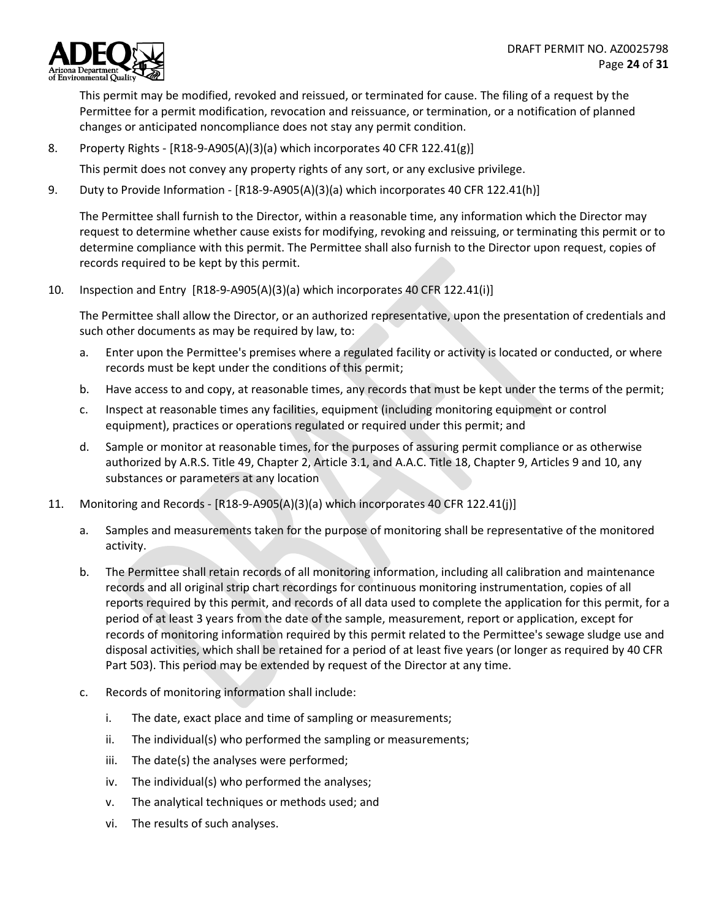

This permit may be modified, revoked and reissued, or terminated for cause. The filing of a request by the Permittee for a permit modification, revocation and reissuance, or termination, or a notification of planned changes or anticipated noncompliance does not stay any permit condition.

8. Property Rights - [R18-9-A905(A)(3)(a) which incorporates 40 CFR 122.41(g)]

This permit does not convey any property rights of any sort, or any exclusive privilege.

9. Duty to Provide Information - [R18-9-A905(A)(3)(a) which incorporates 40 CFR 122.41(h)]

The Permittee shall furnish to the Director, within a reasonable time, any information which the Director may request to determine whether cause exists for modifying, revoking and reissuing, or terminating this permit or to determine compliance with this permit. The Permittee shall also furnish to the Director upon request, copies of records required to be kept by this permit.

10. Inspection and Entry [R18-9-A905(A)(3)(a) which incorporates 40 CFR 122.41(i)]

The Permittee shall allow the Director, or an authorized representative, upon the presentation of credentials and such other documents as may be required by law, to:

- a. Enter upon the Permittee's premises where a regulated facility or activity is located or conducted, or where records must be kept under the conditions of this permit;
- b. Have access to and copy, at reasonable times, any records that must be kept under the terms of the permit;
- c. Inspect at reasonable times any facilities, equipment (including monitoring equipment or control equipment), practices or operations regulated or required under this permit; and
- d. Sample or monitor at reasonable times, for the purposes of assuring permit compliance or as otherwise authorized by A.R.S. Title 49, Chapter 2, Article 3.1, and A.A.C. Title 18, Chapter 9, Articles 9 and 10, any substances or parameters at any location
- 11. Monitoring and Records [R18-9-A905(A)(3)(a) which incorporates 40 CFR 122.41(j)]
	- a. Samples and measurements taken for the purpose of monitoring shall be representative of the monitored activity.
	- b. The Permittee shall retain records of all monitoring information, including all calibration and maintenance records and all original strip chart recordings for continuous monitoring instrumentation, copies of all reports required by this permit, and records of all data used to complete the application for this permit, for a period of at least 3 years from the date of the sample, measurement, report or application, except for records of monitoring information required by this permit related to the Permittee's sewage sludge use and disposal activities, which shall be retained for a period of at least five years (or longer as required by 40 CFR Part 503). This period may be extended by request of the Director at any time.
	- c. Records of monitoring information shall include:
		- i. The date, exact place and time of sampling or measurements;
		- ii. The individual(s) who performed the sampling or measurements;
		- iii. The date(s) the analyses were performed;
		- iv. The individual(s) who performed the analyses;
		- v. The analytical techniques or methods used; and
		- vi. The results of such analyses.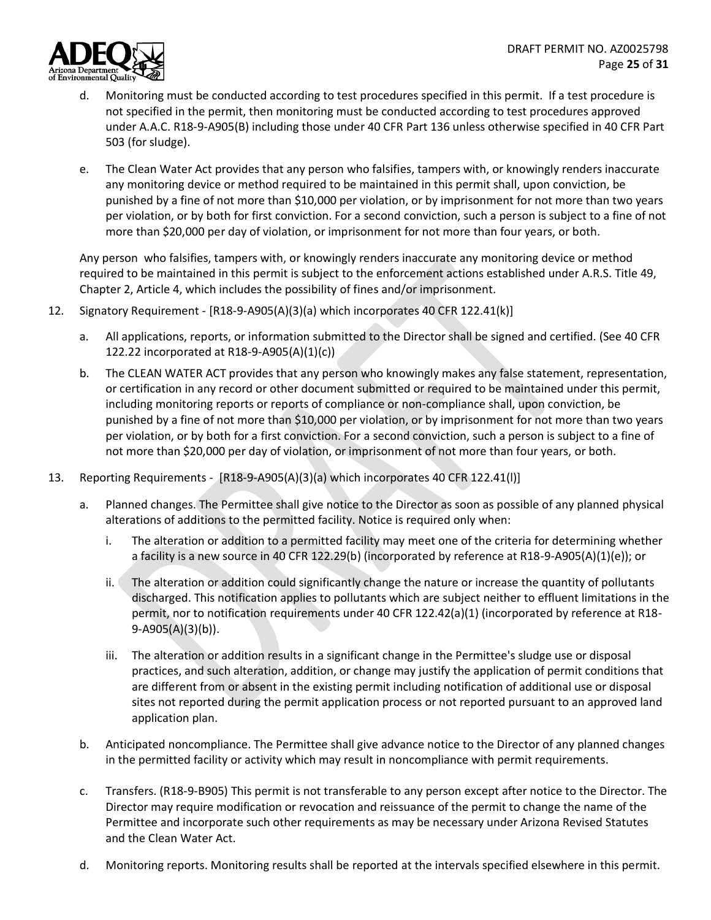

- d. Monitoring must be conducted according to test procedures specified in this permit. If a test procedure is not specified in the permit, then monitoring must be conducted according to test procedures approved under A.A.C. R18-9-A905(B) including those under 40 CFR Part 136 unless otherwise specified in 40 CFR Part 503 (for sludge).
- e. The Clean Water Act provides that any person who falsifies, tampers with, or knowingly renders inaccurate any monitoring device or method required to be maintained in this permit shall, upon conviction, be punished by a fine of not more than \$10,000 per violation, or by imprisonment for not more than two years per violation, or by both for first conviction. For a second conviction, such a person is subject to a fine of not more than \$20,000 per day of violation, or imprisonment for not more than four years, or both.

Any person who falsifies, tampers with, or knowingly renders inaccurate any monitoring device or method required to be maintained in this permit is subject to the enforcement actions established under A.R.S. Title 49, Chapter 2, Article 4, which includes the possibility of fines and/or imprisonment.

- 12. Signatory Requirement [R18-9-A905(A)(3)(a) which incorporates 40 CFR 122.41(k)]
	- a. All applications, reports, or information submitted to the Director shall be signed and certified. (See 40 CFR 122.22 incorporated at R18-9-A905(A)(1)(c))
	- b. The CLEAN WATER ACT provides that any person who knowingly makes any false statement, representation, or certification in any record or other document submitted or required to be maintained under this permit, including monitoring reports or reports of compliance or non-compliance shall, upon conviction, be punished by a fine of not more than \$10,000 per violation, or by imprisonment for not more than two years per violation, or by both for a first conviction. For a second conviction, such a person is subject to a fine of not more than \$20,000 per day of violation, or imprisonment of not more than four years, or both.
- 13. Reporting Requirements [R18-9-A905(A)(3)(a) which incorporates 40 CFR 122.41(l)]
	- a. Planned changes. The Permittee shall give notice to the Director as soon as possible of any planned physical alterations of additions to the permitted facility. Notice is required only when:
		- i. The alteration or addition to a permitted facility may meet one of the criteria for determining whether a facility is a new source in 40 CFR 122.29(b) (incorporated by reference at R18-9-A905(A)(1)(e)); or
		- ii. The alteration or addition could significantly change the nature or increase the quantity of pollutants discharged. This notification applies to pollutants which are subject neither to effluent limitations in the permit, nor to notification requirements under 40 CFR 122.42(a)(1) (incorporated by reference at R18- 9-A905(A)(3)(b)).
		- iii. The alteration or addition results in a significant change in the Permittee's sludge use or disposal practices, and such alteration, addition, or change may justify the application of permit conditions that are different from or absent in the existing permit including notification of additional use or disposal sites not reported during the permit application process or not reported pursuant to an approved land application plan.
	- b. Anticipated noncompliance. The Permittee shall give advance notice to the Director of any planned changes in the permitted facility or activity which may result in noncompliance with permit requirements.
	- c. Transfers. (R18-9-B905) This permit is not transferable to any person except after notice to the Director. The Director may require modification or revocation and reissuance of the permit to change the name of the Permittee and incorporate such other requirements as may be necessary under Arizona Revised Statutes and the Clean Water Act.
	- d. Monitoring reports. Monitoring results shall be reported at the intervals specified elsewhere in this permit.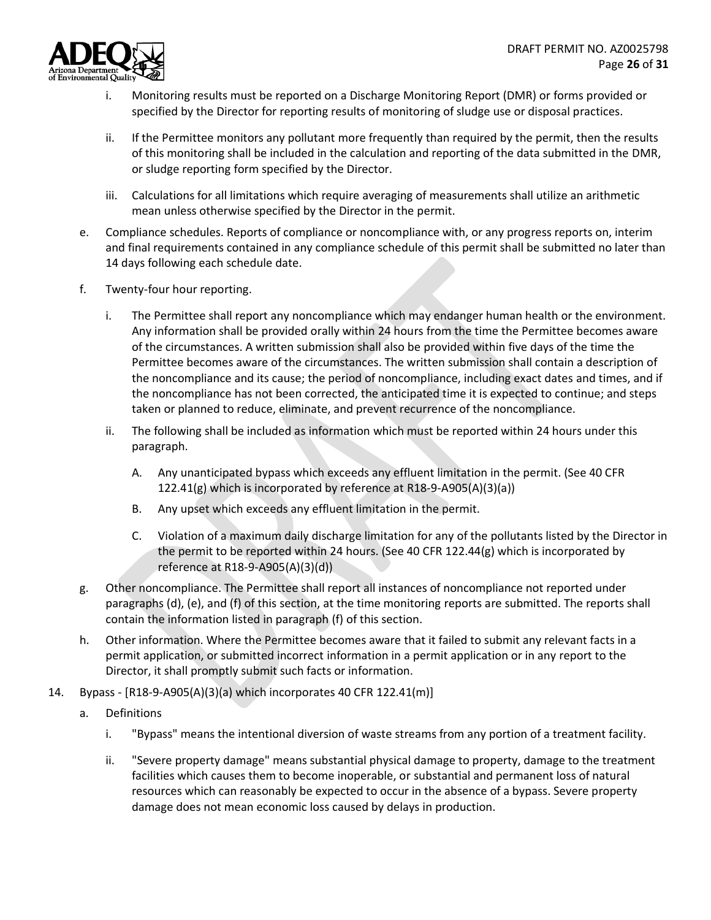

- i. Monitoring results must be reported on a Discharge Monitoring Report (DMR) or forms provided or specified by the Director for reporting results of monitoring of sludge use or disposal practices.
- ii. If the Permittee monitors any pollutant more frequently than required by the permit, then the results of this monitoring shall be included in the calculation and reporting of the data submitted in the DMR, or sludge reporting form specified by the Director.
- iii. Calculations for all limitations which require averaging of measurements shall utilize an arithmetic mean unless otherwise specified by the Director in the permit.
- e. Compliance schedules. Reports of compliance or noncompliance with, or any progress reports on, interim and final requirements contained in any compliance schedule of this permit shall be submitted no later than 14 days following each schedule date.
- f. Twenty-four hour reporting.
	- i. The Permittee shall report any noncompliance which may endanger human health or the environment. Any information shall be provided orally within 24 hours from the time the Permittee becomes aware of the circumstances. A written submission shall also be provided within five days of the time the Permittee becomes aware of the circumstances. The written submission shall contain a description of the noncompliance and its cause; the period of noncompliance, including exact dates and times, and if the noncompliance has not been corrected, the anticipated time it is expected to continue; and steps taken or planned to reduce, eliminate, and prevent recurrence of the noncompliance.
	- ii. The following shall be included as information which must be reported within 24 hours under this paragraph.
		- A. Any unanticipated bypass which exceeds any effluent limitation in the permit. (See 40 CFR 122.41(g) which is incorporated by reference at R18-9-A905(A)(3)(a))
		- B. Any upset which exceeds any effluent limitation in the permit.
		- C. Violation of a maximum daily discharge limitation for any of the pollutants listed by the Director in the permit to be reported within 24 hours. (See 40 CFR 122.44(g) which is incorporated by reference at R18-9-A905(A)(3)(d))
- g. Other noncompliance. The Permittee shall report all instances of noncompliance not reported under paragraphs (d), (e), and (f) of this section, at the time monitoring reports are submitted. The reports shall contain the information listed in paragraph (f) of this section.
- h. Other information. Where the Permittee becomes aware that it failed to submit any relevant facts in a permit application, or submitted incorrect information in a permit application or in any report to the Director, it shall promptly submit such facts or information.
- 14. Bypass [R18-9-A905(A)(3)(a) which incorporates 40 CFR 122.41(m)]
	- a. Definitions
		- i. "Bypass" means the intentional diversion of waste streams from any portion of a treatment facility.
		- ii. "Severe property damage" means substantial physical damage to property, damage to the treatment facilities which causes them to become inoperable, or substantial and permanent loss of natural resources which can reasonably be expected to occur in the absence of a bypass. Severe property damage does not mean economic loss caused by delays in production.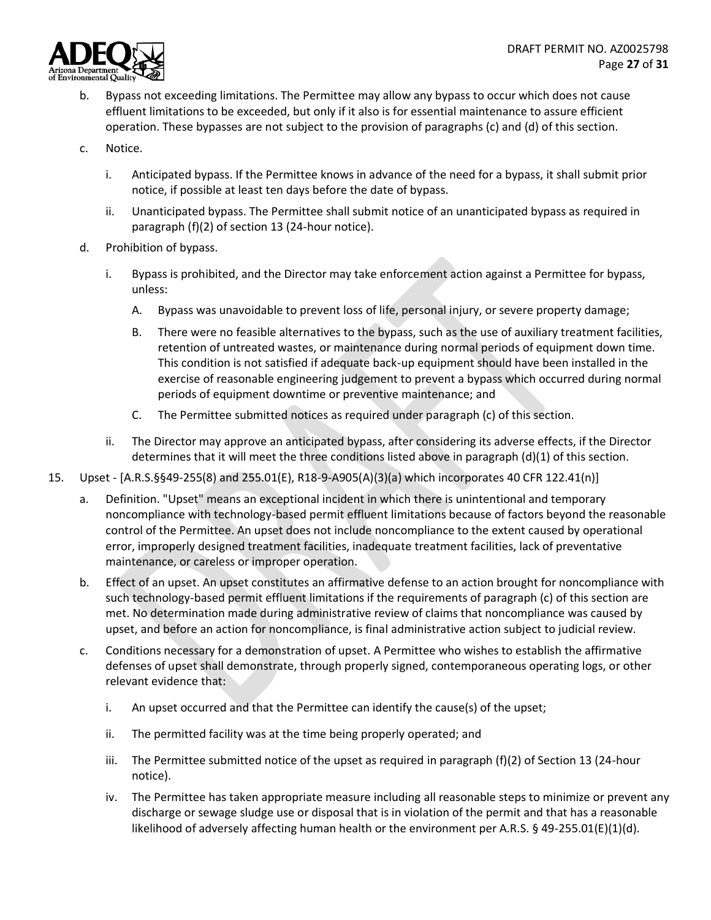

- b. Bypass not exceeding limitations. The Permittee may allow any bypass to occur which does not cause effluent limitations to be exceeded, but only if it also is for essential maintenance to assure efficient operation. These bypasses are not subject to the provision of paragraphs (c) and (d) of this section.
- c. Notice.
	- i. Anticipated bypass. If the Permittee knows in advance of the need for a bypass, it shall submit prior notice, if possible at least ten days before the date of bypass.
	- ii. Unanticipated bypass. The Permittee shall submit notice of an unanticipated bypass as required in paragraph (f)(2) of section 13 (24-hour notice).
- d. Prohibition of bypass.
	- i. Bypass is prohibited, and the Director may take enforcement action against a Permittee for bypass, unless:
		- A. Bypass was unavoidable to prevent loss of life, personal injury, or severe property damage;
		- B. There were no feasible alternatives to the bypass, such as the use of auxiliary treatment facilities, retention of untreated wastes, or maintenance during normal periods of equipment down time. This condition is not satisfied if adequate back-up equipment should have been installed in the exercise of reasonable engineering judgement to prevent a bypass which occurred during normal periods of equipment downtime or preventive maintenance; and
		- C. The Permittee submitted notices as required under paragraph (c) of this section.
	- ii. The Director may approve an anticipated bypass, after considering its adverse effects, if the Director determines that it will meet the three conditions listed above in paragraph (d)(1) of this section.
- 15. Upset [A.R.S.§§49-255(8) and 255.01(E), R18-9-A905(A)(3)(a) which incorporates 40 CFR 122.41(n)]
	- a. Definition. "Upset" means an exceptional incident in which there is unintentional and temporary noncompliance with technology-based permit effluent limitations because of factors beyond the reasonable control of the Permittee. An upset does not include noncompliance to the extent caused by operational error, improperly designed treatment facilities, inadequate treatment facilities, lack of preventative maintenance, or careless or improper operation.
	- b. Effect of an upset. An upset constitutes an affirmative defense to an action brought for noncompliance with such technology-based permit effluent limitations if the requirements of paragraph (c) of this section are met. No determination made during administrative review of claims that noncompliance was caused by upset, and before an action for noncompliance, is final administrative action subject to judicial review.
	- c. Conditions necessary for a demonstration of upset. A Permittee who wishes to establish the affirmative defenses of upset shall demonstrate, through properly signed, contemporaneous operating logs, or other relevant evidence that:
		- i. An upset occurred and that the Permittee can identify the cause(s) of the upset;
		- ii. The permitted facility was at the time being properly operated; and
		- iii. The Permittee submitted notice of the upset as required in paragraph (f)(2) of Section 13 (24-hour notice).
		- iv. The Permittee has taken appropriate measure including all reasonable steps to minimize or prevent any discharge or sewage sludge use or disposal that is in violation of the permit and that has a reasonable likelihood of adversely affecting human health or the environment per A.R.S. § 49-255.01(E)(1)(d).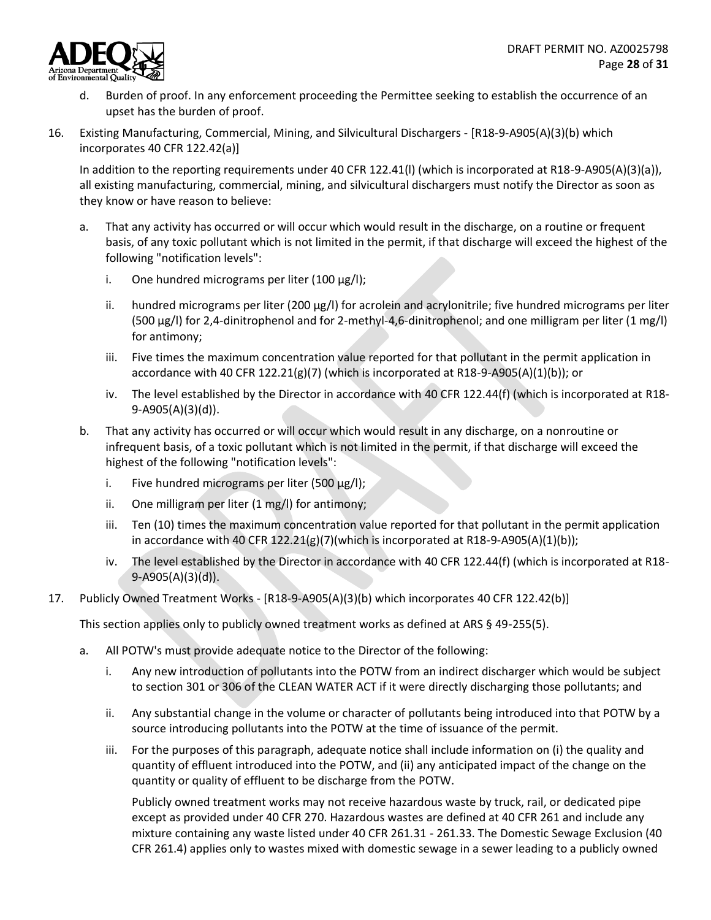

- d. Burden of proof. In any enforcement proceeding the Permittee seeking to establish the occurrence of an upset has the burden of proof.
- 16. Existing Manufacturing, Commercial, Mining, and Silvicultural Dischargers [R18-9-A905(A)(3)(b) which incorporates 40 CFR 122.42(a)]

In addition to the reporting requirements under 40 CFR 122.41(l) (which is incorporated at R18-9-A905(A)(3)(a)), all existing manufacturing, commercial, mining, and silvicultural dischargers must notify the Director as soon as they know or have reason to believe:

- a. That any activity has occurred or will occur which would result in the discharge, on a routine or frequent basis, of any toxic pollutant which is not limited in the permit, if that discharge will exceed the highest of the following "notification levels":
	- i. One hundred micrograms per liter (100 μg/l);
	- ii. hundred micrograms per liter (200 μg/l) for acrolein and acrylonitrile; five hundred micrograms per liter (500 μg/l) for 2,4-dinitrophenol and for 2-methyl-4,6-dinitrophenol; and one milligram per liter (1 mg/l) for antimony;
	- iii. Five times the maximum concentration value reported for that pollutant in the permit application in accordance with 40 CFR 122.21(g)(7) (which is incorporated at R18-9-A905(A)(1)(b)); or
	- iv. The level established by the Director in accordance with 40 CFR 122.44(f) (which is incorporated at R18- 9-A905(A)(3)(d)).
- b. That any activity has occurred or will occur which would result in any discharge, on a nonroutine or infrequent basis, of a toxic pollutant which is not limited in the permit, if that discharge will exceed the highest of the following "notification levels":
	- i. Five hundred micrograms per liter (500  $\mu$ g/l);
	- ii. One milligram per liter (1 mg/l) for antimony;
	- iii. Ten (10) times the maximum concentration value reported for that pollutant in the permit application in accordance with 40 CFR 122.21(g)(7)(which is incorporated at R18-9-A905(A)(1)(b));
	- iv. The level established by the Director in accordance with 40 CFR 122.44(f) (which is incorporated at R18-  $9 - A905(A)(3)(d)$ .
- 17. Publicly Owned Treatment Works [R18-9-A905(A)(3)(b) which incorporates 40 CFR 122.42(b)]

This section applies only to publicly owned treatment works as defined at ARS § 49-255(5).

- a. All POTW's must provide adequate notice to the Director of the following:
	- i. Any new introduction of pollutants into the POTW from an indirect discharger which would be subject to section 301 or 306 of the CLEAN WATER ACT if it were directly discharging those pollutants; and
	- ii. Any substantial change in the volume or character of pollutants being introduced into that POTW by a source introducing pollutants into the POTW at the time of issuance of the permit.
	- iii. For the purposes of this paragraph, adequate notice shall include information on (i) the quality and quantity of effluent introduced into the POTW, and (ii) any anticipated impact of the change on the quantity or quality of effluent to be discharge from the POTW.

Publicly owned treatment works may not receive hazardous waste by truck, rail, or dedicated pipe except as provided under 40 CFR 270. Hazardous wastes are defined at 40 CFR 261 and include any mixture containing any waste listed under 40 CFR 261.31 - 261.33. The Domestic Sewage Exclusion (40 CFR 261.4) applies only to wastes mixed with domestic sewage in a sewer leading to a publicly owned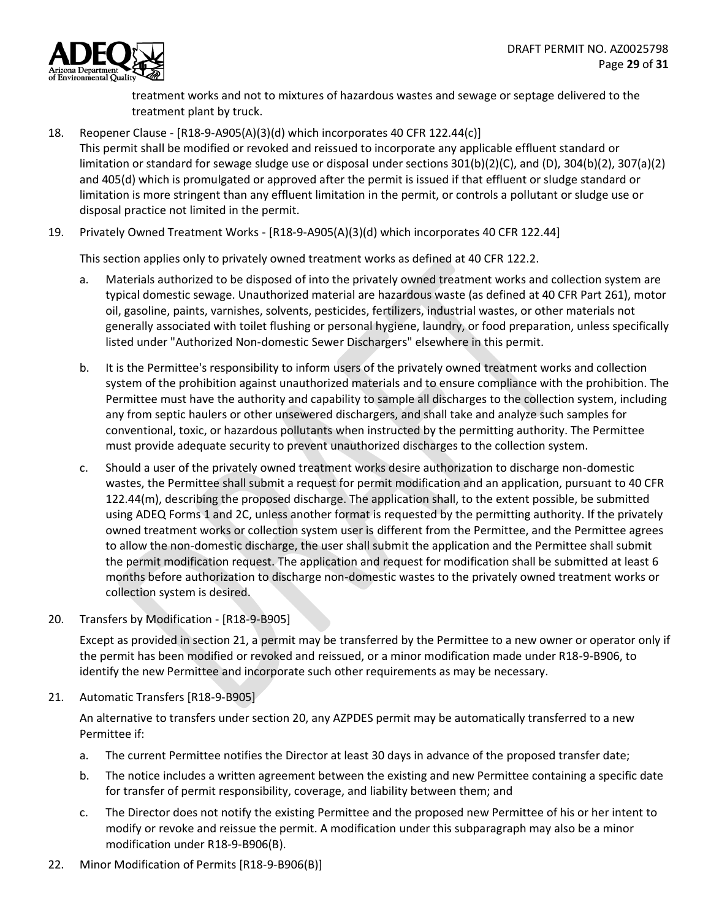

treatment works and not to mixtures of hazardous wastes and sewage or septage delivered to the treatment plant by truck.

18. Reopener Clause - [R18-9-A905(A)(3)(d) which incorporates 40 CFR 122.44(c)] This permit shall be modified or revoked and reissued to incorporate any applicable effluent standard or limitation or standard for sewage sludge use or disposal under sections 301(b)(2)(C), and (D), 304(b)(2), 307(a)(2) and 405(d) which is promulgated or approved after the permit is issued if that effluent or sludge standard or limitation is more stringent than any effluent limitation in the permit, or controls a pollutant or sludge use or disposal practice not limited in the permit.

19. Privately Owned Treatment Works - [R18-9-A905(A)(3)(d) which incorporates 40 CFR 122.44]

This section applies only to privately owned treatment works as defined at 40 CFR 122.2.

- a. Materials authorized to be disposed of into the privately owned treatment works and collection system are typical domestic sewage. Unauthorized material are hazardous waste (as defined at 40 CFR Part 261), motor oil, gasoline, paints, varnishes, solvents, pesticides, fertilizers, industrial wastes, or other materials not generally associated with toilet flushing or personal hygiene, laundry, or food preparation, unless specifically listed under "Authorized Non-domestic Sewer Dischargers" elsewhere in this permit.
- b. It is the Permittee's responsibility to inform users of the privately owned treatment works and collection system of the prohibition against unauthorized materials and to ensure compliance with the prohibition. The Permittee must have the authority and capability to sample all discharges to the collection system, including any from septic haulers or other unsewered dischargers, and shall take and analyze such samples for conventional, toxic, or hazardous pollutants when instructed by the permitting authority. The Permittee must provide adequate security to prevent unauthorized discharges to the collection system.
- c. Should a user of the privately owned treatment works desire authorization to discharge non-domestic wastes, the Permittee shall submit a request for permit modification and an application, pursuant to 40 CFR 122.44(m), describing the proposed discharge. The application shall, to the extent possible, be submitted using ADEQ Forms 1 and 2C, unless another format is requested by the permitting authority. If the privately owned treatment works or collection system user is different from the Permittee, and the Permittee agrees to allow the non-domestic discharge, the user shall submit the application and the Permittee shall submit the permit modification request. The application and request for modification shall be submitted at least 6 months before authorization to discharge non-domestic wastes to the privately owned treatment works or collection system is desired.
- 20. Transfers by Modification [R18-9-B905]

Except as provided in section 21, a permit may be transferred by the Permittee to a new owner or operator only if the permit has been modified or revoked and reissued, or a minor modification made under R18-9-B906, to identify the new Permittee and incorporate such other requirements as may be necessary.

21. Automatic Transfers [R18-9-B905]

An alternative to transfers under section 20, any AZPDES permit may be automatically transferred to a new Permittee if:

- a. The current Permittee notifies the Director at least 30 days in advance of the proposed transfer date;
- b. The notice includes a written agreement between the existing and new Permittee containing a specific date for transfer of permit responsibility, coverage, and liability between them; and
- c. The Director does not notify the existing Permittee and the proposed new Permittee of his or her intent to modify or revoke and reissue the permit. A modification under this subparagraph may also be a minor modification under R18-9-B906(B).
- 22. Minor Modification of Permits [R18-9-B906(B)]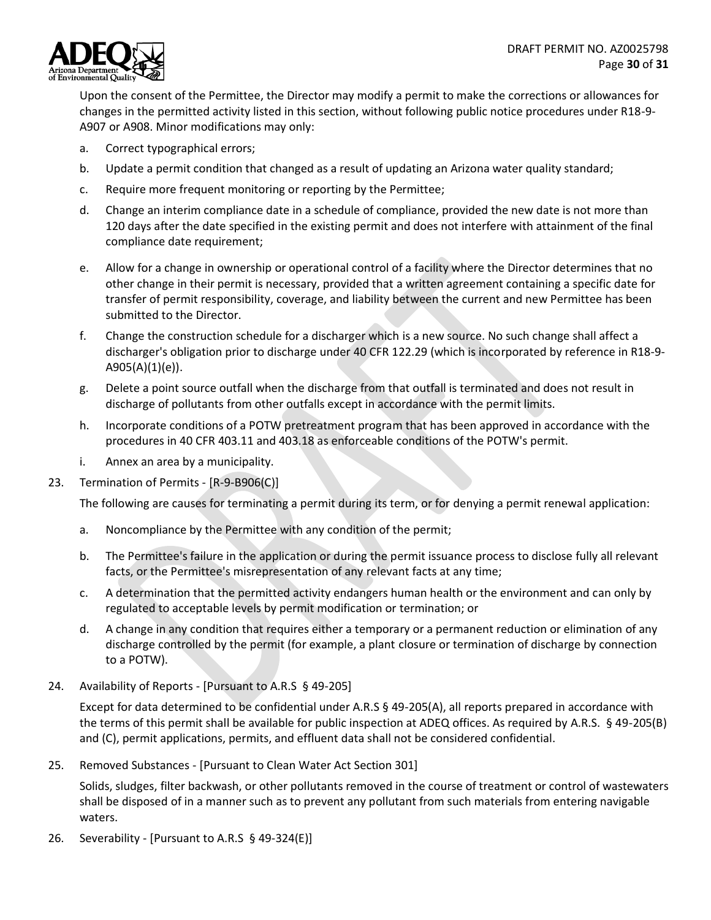

Upon the consent of the Permittee, the Director may modify a permit to make the corrections or allowances for changes in the permitted activity listed in this section, without following public notice procedures under R18-9- A907 or A908. Minor modifications may only:

- a. Correct typographical errors;
- b. Update a permit condition that changed as a result of updating an Arizona water quality standard;
- c. Require more frequent monitoring or reporting by the Permittee;
- d. Change an interim compliance date in a schedule of compliance, provided the new date is not more than 120 days after the date specified in the existing permit and does not interfere with attainment of the final compliance date requirement;
- e. Allow for a change in ownership or operational control of a facility where the Director determines that no other change in their permit is necessary, provided that a written agreement containing a specific date for transfer of permit responsibility, coverage, and liability between the current and new Permittee has been submitted to the Director.
- f. Change the construction schedule for a discharger which is a new source. No such change shall affect a discharger's obligation prior to discharge under 40 CFR 122.29 (which is incorporated by reference in R18-9-  $A905(A)(1)(e)$ ).
- g. Delete a point source outfall when the discharge from that outfall is terminated and does not result in discharge of pollutants from other outfalls except in accordance with the permit limits.
- h. Incorporate conditions of a POTW pretreatment program that has been approved in accordance with the procedures in 40 CFR 403.11 and 403.18 as enforceable conditions of the POTW's permit.
- i. Annex an area by a municipality.
- 23. Termination of Permits [R-9-B906(C)]

The following are causes for terminating a permit during its term, or for denying a permit renewal application:

- a. Noncompliance by the Permittee with any condition of the permit;
- b. The Permittee's failure in the application or during the permit issuance process to disclose fully all relevant facts, or the Permittee's misrepresentation of any relevant facts at any time;
- c. A determination that the permitted activity endangers human health or the environment and can only by regulated to acceptable levels by permit modification or termination; or
- d. A change in any condition that requires either a temporary or a permanent reduction or elimination of any discharge controlled by the permit (for example, a plant closure or termination of discharge by connection to a POTW).
- 24. Availability of Reports [Pursuant to A.R.S § 49-205]

Except for data determined to be confidential under A.R.S § 49-205(A), all reports prepared in accordance with the terms of this permit shall be available for public inspection at ADEQ offices. As required by A.R.S. § 49-205(B) and (C), permit applications, permits, and effluent data shall not be considered confidential.

25. Removed Substances - [Pursuant to Clean Water Act Section 301]

Solids, sludges, filter backwash, or other pollutants removed in the course of treatment or control of wastewaters shall be disposed of in a manner such as to prevent any pollutant from such materials from entering navigable waters.

26. Severability - [Pursuant to A.R.S § 49-324(E)]